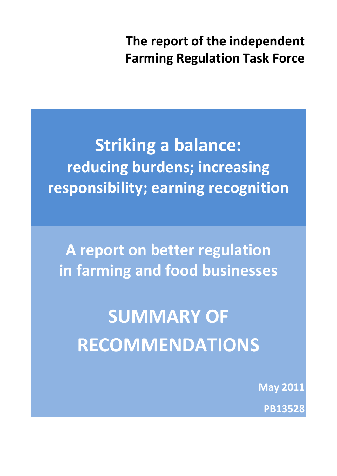**The report of the independent Farming Regulation Task Force**

**Striking a balance: reducing burdens; increasing responsibility; earning recognition**

**A report on better regulation in farming and food businesses**

**SUMMARY OF RECOMMENDATIONS**

**May 2011**

**PB13528**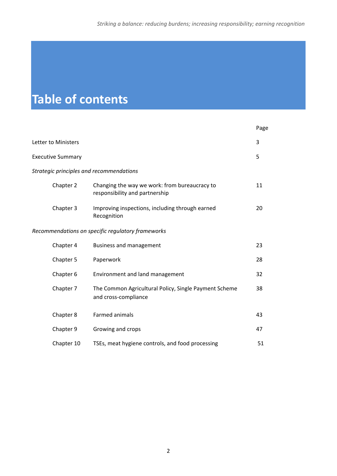# **Table of contents**

|                                          |                                                                                 | Page |
|------------------------------------------|---------------------------------------------------------------------------------|------|
| Letter to Ministers                      |                                                                                 | 3    |
| <b>Executive Summary</b>                 |                                                                                 | 5    |
| Strategic principles and recommendations |                                                                                 |      |
| Chapter 2                                | Changing the way we work: from bureaucracy to<br>responsibility and partnership | 11   |
| Chapter 3                                | Improving inspections, including through earned<br>Recognition                  | 20   |
|                                          | Recommendations on specific regulatory frameworks                               |      |
| Chapter 4                                | <b>Business and management</b>                                                  | 23   |
| Chapter 5                                | Paperwork                                                                       | 28   |
| Chapter 6                                | Environment and land management                                                 | 32   |
| Chapter 7                                | The Common Agricultural Policy, Single Payment Scheme<br>and cross-compliance   | 38   |
| Chapter 8                                | Farmed animals                                                                  | 43   |
| Chapter 9                                | Growing and crops                                                               | 47   |
| Chapter 10                               | TSEs, meat hygiene controls, and food processing                                | 51   |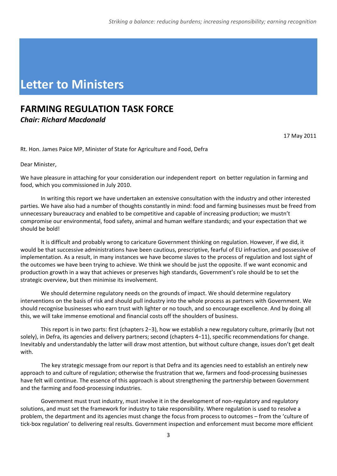# **Letter to Ministers**

### **FARMING REGULATION TASK FORCE**  *Chair: Richard Macdonald*

17 May 2011

Rt. Hon. James Paice MP, Minister of State for Agriculture and Food, Defra

Dear Minister,

We have pleasure in attaching for your consideration our independent report on better regulation in farming and food, which you commissioned in July 2010.

In writing this report we have undertaken an extensive consultation with the industry and other interested parties. We have also had a number of thoughts constantly in mind: food and farming businesses must be freed from unnecessary bureaucracy and enabled to be competitive and capable of increasing production; we mustn't compromise our environmental, food safety, animal and human welfare standards; and your expectation that we should be bold!

It is difficult and probably wrong to caricature Government thinking on regulation. However, if we did, it would be that successive administrations have been cautious, prescriptive, fearful of EU infraction, and possessive of implementation. As a result, in many instances we have become slaves to the process of regulation and lost sight of the outcomes we have been trying to achieve. We think we should be just the opposite. If we want economic and production growth in a way that achieves or preserves high standards, Government's role should be to set the strategic overview, but then minimise its involvement.

We should determine regulatory needs on the grounds of impact. We should determine regulatory interventions on the basis of risk and should pull industry into the whole process as partners with Government. We should recognise businesses who earn trust with lighter or no touch, and so encourage excellence. And by doing all this, we will take immense emotional and financial costs off the shoulders of business.

This report is in two parts: first (chapters 2−3), how we establish a new regulatory culture, primarily (but not solely), in Defra, its agencies and delivery partners; second (chapters 4−11), specific recommendations for change. Inevitably and understandably the latter will draw most attention, but without culture change, issues don't get dealt with.

The key strategic message from our report is that Defra and its agencies need to establish an entirely new approach to and culture of regulation; otherwise the frustration that we, farmers and food-processing businesses have felt will continue. The essence of this approach is about strengthening the partnership between Government and the farming and food‐processing industries.

Government must trust industry, must involve it in the development of non-regulatory and regulatory solutions, and must set the framework for industry to take responsibility. Where regulation is used to resolve a problem, the department and its agencies must change the focus from process to outcomes – from the 'culture of tick‐box regulation' to delivering real results. Government inspection and enforcement must become more efficient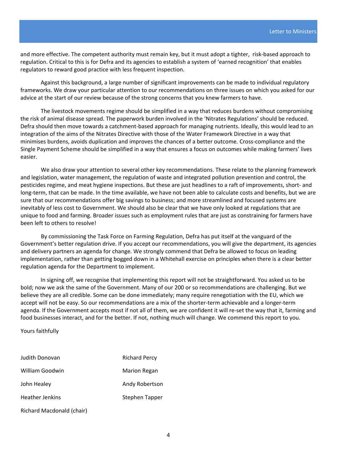and more effective. The competent authority must remain key, but it must adopt a tighter, risk‐based approach to regulation. Critical to this is for Defra and its agencies to establish a system of 'earned recognition' that enables regulators to reward good practice with less frequent inspection.

Against this background, a large number of significant improvements can be made to individual regulatory frameworks. We draw your particular attention to our recommendations on three issues on which you asked for our advice at the start of our review because of the strong concerns that you knew farmers to have.

The livestock movements regime should be simplified in a way that reduces burdens without compromising the risk of animal disease spread. The paperwork burden involved in the 'Nitrates Regulations' should be reduced. Defra should then move towards a catchment-based approach for managing nutrients. Ideally, this would lead to an integration of the aims of the Nitrates Directive with those of the Water Framework Directive in a way that minimises burdens, avoids duplication and improves the chances of a better outcome*.* Cross‐compliance and the Single Payment Scheme should be simplified in a way that ensures a focus on outcomes while making farmers' lives easier.

We also draw your attention to several other key recommendations. These relate to the planning framework and legislation, water management, the regulation of waste and integrated pollution prevention and control, the pesticides regime, and meat hygiene inspections. But these are just headlines to a raft of improvements, short‐ and long-term, that can be made. In the time available, we have not been able to calculate costs and benefits, but we are sure that our recommendations offer big savings to business; and more streamlined and focused systems are inevitably of less cost to Government. We should also be clear that we have only looked at regulations that are unique to food and farming. Broader issues such as employment rules that are just as constraining for farmers have been left to others to resolve!

By commissioning the Task Force on Farming Regulation, Defra has put itself at the vanguard of the Government's better regulation drive. If you accept our recommendations, you will give the department, its agencies and delivery partners an agenda for change. We strongly commend that Defra be allowed to focus on leading implementation, rather than getting bogged down in a Whitehall exercise on principles when there is a clear better regulation agenda for the Department to implement.

In signing off, we recognise that implementing this report will not be straightforward. You asked us to be bold; now we ask the same of the Government. Many of our 200 or so recommendations are challenging. But we believe they are all credible. Some can be done immediately; many require renegotiation with the EU, which we accept will not be easy. So our recommendations are a mix of the shorter-term achievable and a longer-term agenda. If the Government accepts most if not all of them, we are confident it will re‐set the way that it, farming and food businesses interact, and for the better. If not, nothing much will change. We commend this report to you.

Yours faithfully

| Judith Donovan            | <b>Richard Percy</b>  |  |  |
|---------------------------|-----------------------|--|--|
| William Goodwin           | <b>Marion Regan</b>   |  |  |
| John Healey               | Andy Robertson        |  |  |
| <b>Heather Jenkins</b>    | <b>Stephen Tapper</b> |  |  |
| Richard Macdonald (chair) |                       |  |  |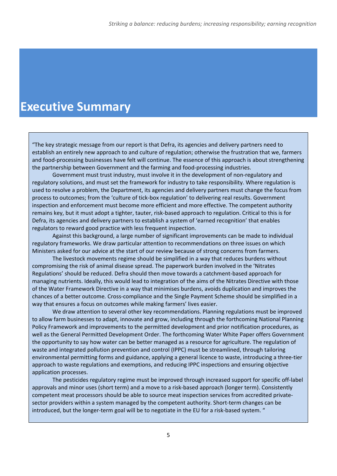# **Executive Summary**

"The key strategic message from our report is that Defra, its agencies and delivery partners need to establish an entirely new approach to and culture of regulation; otherwise the frustration that we, farmers and food-processing businesses have felt will continue. The essence of this approach is about strengthening the partnership between Government and the farming and food-processing industries.

Government must trust industry, must involve it in the development of non‐regulatory and regulatory solutions, and must set the framework for industry to take responsibility. Where regulation is used to resolve a problem, the Department, its agencies and delivery partners must change the focus from process to outcomes; from the 'culture of tick‐box regulation' to delivering real results. Government inspection and enforcement must become more efficient and more effective. The competent authority remains key, but it must adopt a tighter, tauter, risk‐based approach to regulation. Critical to this is for Defra, its agencies and delivery partners to establish a system of 'earned recognition' that enables regulators to reward good practice with less frequent inspection.

Against this background, a large number of significant improvements can be made to individual regulatory frameworks. We draw particular attention to recommendations on three issues on which Ministers asked for our advice at the start of our review because of strong concerns from farmers.

The livestock movements regime should be simplified in a way that reduces burdens without compromising the risk of animal disease spread. The paperwork burden involved in the 'Nitrates Regulations' should be reduced. Defra should then move towards a catchment‐based approach for managing nutrients. Ideally, this would lead to integration of the aims of the Nitrates Directive with those of the Water Framework Directive in a way that minimises burdens, avoids duplication and improves the chances of a better outcome*.* Cross‐compliance and the Single Payment Scheme should be simplified in a way that ensures a focus on outcomes while making farmers' lives easier.

We draw attention to several other key recommendations. Planning regulations must be improved to allow farm businesses to adapt, innovate and grow, including through the forthcoming National Planning Policy Framework and improvements to the permitted development and prior notification procedures, as well as the General Permitted Development Order. The forthcoming Water White Paper offers Government the opportunity to say how water can be better managed as a resource for agriculture. The regulation of waste and integrated pollution prevention and control (IPPC) must be streamlined, through tailoring environmental permitting forms and guidance, applying a general licence to waste, introducing a three‐tier approach to waste regulations and exemptions, and reducing IPPC inspections and ensuring objective application processes.

The pesticides regulatory regime must be improved through increased support for specific off‐label approvals and minor uses (short term) and a move to a risk-based approach (longer term). Consistently competent meat processors should be able to source meat inspection services from accredited private‐ sector providers within a system managed by the competent authority. Short-term changes can be introduced, but the longer-term goal will be to negotiate in the EU for a risk-based system. "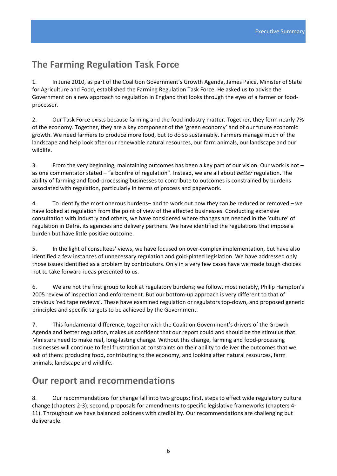# **The Farming Regulation Task Force**

1. In June 2010, as part of the Coalition Government's Growth Agenda, James Paice, Minister of State for Agriculture and Food, established the Farming Regulation Task Force. He asked us to advise the Government on a new approach to regulation in England that looks through the eyes of a farmer or food‐ processor.

2. Our Task Force exists because farming and the food industry matter. Together, they form nearly 7% of the economy. Together, they are a key component of the 'green economy' and of our future economic growth. We need farmers to produce more food, but to do so sustainably. Farmers manage much of the landscape and help look after our renewable natural resources, our farm animals, our landscape and our wildlife.

3. From the very beginning, maintaining outcomes has been a key part of our vision. Our work is not – as one commentator stated – "a bonfire of regulation". Instead, we are all about *better* regulation. The ability of farming and food‐processing businesses to contribute to outcomes is constrained by burdens associated with regulation, particularly in terms of process and paperwork.

4. To identify the most onerous burdens– and to work out how they can be reduced or removed – we have looked at regulation from the point of view of the affected businesses. Conducting extensive consultation with industry and others, we have considered where changes are needed in the 'culture' of regulation in Defra, its agencies and delivery partners. We have identified the regulations that impose a burden but have little positive outcome.

5. In the light of consultees' views, we have focused on over‐complex implementation, but have also identified a few instances of unnecessary regulation and gold‐plated legislation. We have addressed only those issues identified as a problem by contributors. Only in a very few cases have we made tough choices not to take forward ideas presented to us.

6. We are not the first group to look at regulatory burdens; we follow, most notably, Philip Hampton's 2005 review of inspection and enforcement. But our bottom‐up approach is very different to that of previous 'red tape reviews'. These have examined regulation or regulators top‐down, and proposed generic principles and specific targets to be achieved by the Government.

7. This fundamental difference, together with the Coalition Government's drivers of the Growth Agenda and better regulation, makes us confident that our report could and should be the stimulus that Ministers need to make real, long‐lasting change. Without this change, farming and food‐processing businesses will continue to feel frustration at constraints on their ability to deliver the outcomes that we ask of them: producing food, contributing to the economy, and looking after natural resources, farm animals, landscape and wildlife.

# **Our report and recommendations**

8. Our recommendations for change fall into two groups: first, steps to effect wide regulatory culture change (chapters 2‐3); second, proposals for amendments to specific legislative frameworks (chapters 4‐ 11). Throughout we have balanced boldness with credibility. Our recommendations are challenging but deliverable.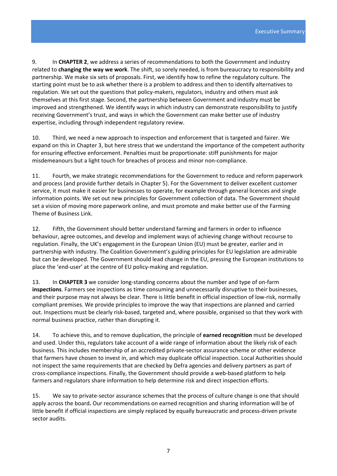9. In **CHAPTER 2**, we address a series of recommendations to both the Government and industry related to **changing the way we work**. The shift, so sorely needed, is from bureaucracy to responsibility and partnership. We make six sets of proposals. First, we identify how to refine the regulatory culture. The starting point must be to ask whether there is a problem to address and then to identify alternatives to regulation. We set out the questions that policy‐makers, regulators, industry and others must ask themselves at this first stage. Second, the partnership between Government and industry must be improved and strengthened. We identify ways in which industry can demonstrate responsibility to justify receiving Government's trust, and ways in which the Government can make better use of industry expertise, including through independent regulatory review.

10. Third, we need a new approach to inspection and enforcement that is targeted and fairer. We expand on this in Chapter 3, but here stress that we understand the importance of the competent authority for ensuring effective enforcement. Penalties must be proportionate: stiff punishments for major misdemeanours but a light touch for breaches of process and minor non‐compliance.

11. Fourth, we make strategic recommendations for the Government to reduce and reform paperwork and process (and provide further details in Chapter 5). For the Government to deliver excellent customer service, it must make it easier for businesses to operate, for example through general licences and single information points. We set out new principles for Government collection of data. The Government should set a vision of moving more paperwork online, and must promote and make better use of the Farming Theme of Business Link.

12. Fifth, the Government should better understand farming and farmers in order to influence behaviour, agree outcomes, and develop and implement ways of achieving change without recourse to regulation. Finally, the UK's engagement in the European Union (EU) must be greater, earlier and in partnership with industry. The Coalition Government's guiding principles for EU legislation are admirable but can be developed. The Government should lead change in the EU, pressing the European institutions to place the 'end‐user' at the centre of EU policy‐making and regulation.

13. In **CHAPTER 3** we consider long‐standing concerns about the number and type of on‐farm **inspections**. Farmers see inspections as time consuming and unnecessarily disruptive to their businesses, and their purpose may not always be clear. There is little benefit in official inspection of low‐risk, normally compliant premises. We provide principles to improve the way that inspections are planned and carried out. Inspections must be clearly risk‐based, targeted and, where possible, organised so that they work with normal business practice, rather than disrupting it.

14. To achieve this, and to remove duplication, the principle of **earned recognition** must be developed and used. Under this, regulators take account of a wide range of information about the likely risk of each business. This includes membership of an accredited private‐sector assurance scheme or other evidence that farmers have chosen to invest in, and which may duplicate official inspection. Local Authorities should not inspect the same requirements that are checked by Defra agencies and delivery partners as part of cross‐compliance inspections. Finally, the Government should provide a web‐based platform to help farmers and regulators share information to help determine risk and direct inspection efforts.

15. We say to private-sector assurance schemes that the process of culture change is one that should apply across the board**.** Our recommendations on earned recognition and sharing information will be of little benefit if official inspections are simply replaced by equally bureaucratic and process-driven private sector audits.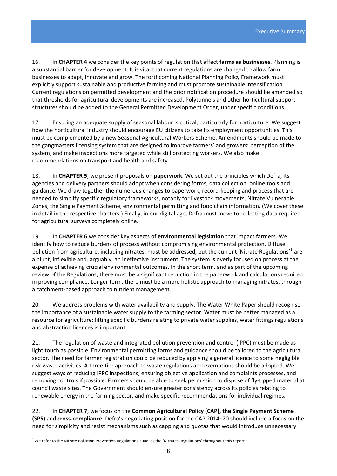16. In **CHAPTER 4** we consider the key points of regulation that affect **farms as businesses**. Planning is a substantial barrier for development. It is vital that current regulations are changed to allow farm businesses to adapt, innovate and grow. The forthcoming National Planning Policy Framework must explicitly support sustainable and productive farming and must promote sustainable intensification. Current regulations on permitted development and the prior notification procedure should be amended so that thresholds for agricultural developments are increased. Polytunnels and other horticultural support structures should be added to the General Permitted Development Order, under specific conditions.

17. Ensuring an adequate supply of seasonal labour is critical, particularly for horticulture. We suggest how the horticultural industry should encourage EU citizens to take its employment opportunities. This must be complemented by a new Seasonal Agricultural Workers Scheme. Amendments should be made to the gangmasters licensing system that are designed to improve farmers' and growers' perception of the system, and make inspections more targeted while still protecting workers. We also make recommendations on transport and health and safety.

18. In **CHAPTER 5**, we present proposals on **paperwork**. We set out the principles which Defra, its agencies and delivery partners should adopt when considering forms, data collection, online tools and guidance. We draw together the numerous changes to paperwork, record-keeping and process that are needed to simplify specific regulatory frameworks, notably for livestock movements, Nitrate Vulnerable Zones, the Single Payment Scheme, environmental permitting and food chain information. (We cover these in detail in the respective chapters.) Finally, in our digital age, Defra must move to collecting data required for agricultural surveys completely online.

19. In **CHAPTER 6** we consider key aspects of **environmental legislation** that impact farmers. We identify how to reduce burdens of process without compromising environmental protection. Diffuse pollution from agriculture, including nitrates, must be addressed, but the current 'Nitrate Regulations'<sup>[1](#page-7-0)</sup> are a blunt, inflexible and, arguably, an ineffective instrument. The system is overly focused on process at the expense of achieving crucial environmental outcomes. In the short term, and as part of the upcoming review of the Regulations, there must be a significant reduction in the paperwork and calculations required in proving compliance. Longer term, there must be a more holistic approach to managing nitrates, through a catchment‐based approach to nutrient management.

20. We address problems with water availability and supply. The Water White Paper should recognise the importance of a sustainable water supply to the farming sector. Water must be better managed as a resource for agriculture; lifting specific burdens relating to private water supplies, water fittings regulations and abstraction licences is important.

21. The regulation of waste and integrated pollution prevention and control (IPPC) must be made as light touch as possible. Environmental permitting forms and guidance should be tailored to the agricultural sector. The need for farmer registration could be reduced by applying a general licence to some negligible risk waste activities. A three‐tier approach to waste regulations and exemptions should be adopted. We suggest ways of reducing IPPC inspections, ensuring objective application and complaints processes, and removing controls if possible. Farmers should be able to seek permission to dispose of fly‐tipped material at council waste sites. The Government should ensure greater consistency across its policies relating to renewable energy in the farming sector, and make specific recommendations for individual regimes.

22. In **CHAPTER 7**, we focus on the **Common Agricultural Policy (CAP), the Single Payment Scheme (SPS)** and **cross‐compliance**. Defra's negotiating position for the CAP 2014−20 should include a focus on the need for simplicity and resist mechanisms such as capping and quotas that would introduce unnecessary

<span id="page-7-0"></span>  $1$  We refer to the Nitrate Pollution Prevention Regulations 2008 as the 'Nitrates Regulations' throughout this report.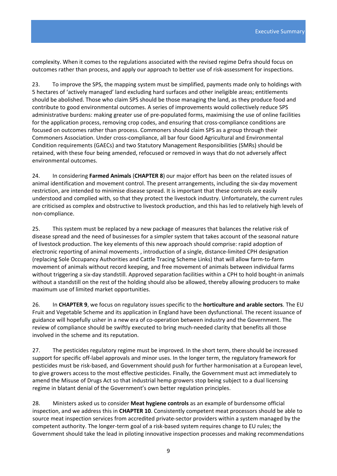complexity. When it comes to the regulations associated with the revised regime Defra should focus on outcomes rather than process, and apply our approach to better use of risk‐assessment for inspections.

23. To improve the SPS, the mapping system must be simplified, payments made only to holdings with 5 hectares of 'actively managed' land excluding hard surfaces and other ineligible areas; entitlements should be abolished. Those who claim SPS should be those managing the land, as they produce food and contribute to good environmental outcomes. A series of improvements would collectively reduce SPS administrative burdens: making greater use of pre‐populated forms, maximising the use of online facilities for the application process, removing crop codes, and ensuring that cross-compliance conditions are focused on outcomes rather than process. Commoners should claim SPS as a group through their Commoners Association. Under cross‐compliance, all bar four Good Agricultural and Environmental Condition requirements (GAECs) and two Statutory Management Responsibilities (SMRs) should be retained, with these four being amended, refocused or removed in ways that do not adversely affect environmental outcomes.

24. In considering **Farmed Animals** (**CHAPTER 8**) our major effort has been on the related issues of animal identification and movement control. The present arrangements, including the six‐day movement restriction, are intended to minimise disease spread. It is important that these controls are easily understood and complied with, so that they protect the livestock industry. Unfortunately, the current rules are criticised as complex and obstructive to livestock production, and this has led to relatively high levels of non‐compliance.

25. This system must be replaced by a new package of measures that balances the relative risk of disease spread and the need of businesses for a simpler system that takes account of the seasonal nature of livestock production. The key elements of this new approach should comprise: rapid adoption of electronic reporting of animal movements, introduction of a single, distance-limited CPH designation (replacing Sole Occupancy Authorities and Cattle Tracing Scheme Links) that will allow farm‐to‐farm movement of animals without record keeping, and free movement of animals between individual farms without triggering a six‐day standstill. Approved separation facilities within a CPH to hold bought‐in animals without a standstill on the rest of the holding should also be allowed, thereby allowing producers to make maximum use of limited market opportunities.

26. In **CHAPTER 9**, we focus on regulatory issues specific to the **horticulture and arable sectors**. The EU Fruit and Vegetable Scheme and its application in England have been dysfunctional. The recent issuance of guidance will hopefully usher in a new era of co‐operation between industry and the Government. The review of compliance should be swiftly executed to bring much‐needed clarity that benefits all those involved in the scheme and its reputation.

27. The pesticides regulatory regime must be improved. In the short term, there should be increased support for specific off-label approvals and minor uses. In the longer term, the regulatory framework for pesticides must be risk‐based, and Government should push for further harmonisation at a European level, to give growers access to the most effective pesticides. Finally, the Government must act immediately to amend the Misuse of Drugs Act so that industrial hemp growers stop being subject to a dual licensing regime in blatant denial of the Government's own better regulation principles.

28. Ministers asked us to consider **Meat hygiene controls** as an example of burdensome official inspection, and we address this in **CHAPTER 10**. Consistently competent meat processors should be able to source meat inspection services from accredited private‐sector providers within a system managed by the competent authority. The longer-term goal of a risk-based system requires change to EU rules; the Government should take the lead in piloting innovative inspection processes and making recommendations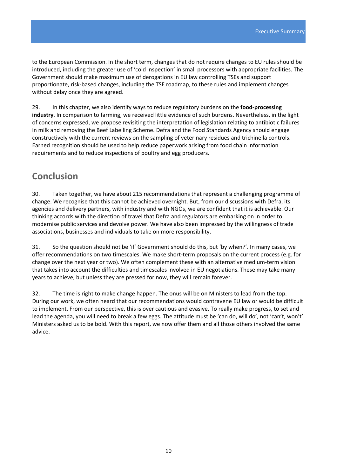to the European Commission. In the short term, changes that do not require changes to EU rules should be introduced, including the greater use of 'cold inspection' in small processors with appropriate facilities. The Government should make maximum use of derogations in EU law controlling TSEs and support proportionate, risk‐based changes, including the TSE roadmap, to these rules and implement changes without delay once they are agreed.

29. In this chapter, we also identify ways to reduce regulatory burdens on the **food-processing industry**. In comparison to farming, we received little evidence of such burdens. Nevertheless, in the light of concerns expressed, we propose revisiting the interpretation of legislation relating to antibiotic failures in milk and removing the Beef Labelling Scheme. Defra and the Food Standards Agency should engage constructively with the current reviews on the sampling of veterinary residues and trichinella controls. Earned recognition should be used to help reduce paperwork arising from food chain information requirements and to reduce inspections of poultry and egg producers.

# **Conclusion**

30. Taken together, we have about 215 recommendations that represent a challenging programme of change. We recognise that this cannot be achieved overnight. But, from our discussions with Defra, its agencies and delivery partners, with industry and with NGOs, we are confident that it is achievable. Our thinking accords with the direction of travel that Defra and regulators are embarking on in order to modernise public services and devolve power. We have also been impressed by the willingness of trade associations, businesses and individuals to take on more responsibility.

31. So the question should not be 'if' Government should do this, but 'by when?'. In many cases, we offer recommendations on two timescales. We make short‐term proposals on the current process (e.g. for change over the next year or two). We often complement these with an alternative medium‐term vision that takes into account the difficulties and timescales involved in EU negotiations. These may take many years to achieve, but unless they are pressed for now, they will remain forever.

32. The time is right to make change happen. The onus will be on Ministers to lead from the top. During our work, we often heard that our recommendations would contravene EU law or would be difficult to implement. From our perspective, this is over cautious and evasive. To really make progress, to set and lead the agenda, you will need to break a few eggs. The attitude must be 'can do, will do', not 'can't, won't'. Ministers asked us to be bold. With this report, we now offer them and all those others involved the same advice.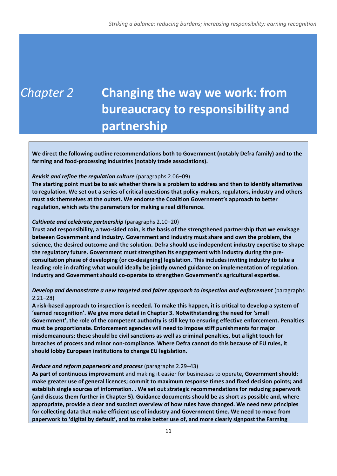# *Chapter 2* **Changing the way we work: from bureaucracy to responsibility and partnership**

**We direct the following outline recommendations both to Government (notably Defra family) and to the farming and food‐processing industries (notably trade associations).**

#### *Revisit and refine the regulation culture* (paragraphs 2.06−09)

The starting point must be to ask whether there is a problem to address and then to identify alternatives to regulation. We set out a series of critical questions that policy-makers, regulators, industry and others **must ask themselves at the outset. We endorse the Coalition Government's approach to better regulation, which sets the parameters for making a real difference.** 

#### *Cultivate and celebrate partnership* (paragraphs 2.10−20)

Trust and responsibility, a two-sided coin, is the basis of the strengthened partnership that we envisage **between Government and industry. Government and industry must share and own the problem, the science, the desired outcome and the solution. Defra should use independent industry expertise to shape the regulatory future. Government must strengthen its engagement with industry during the pre‐ consultation phase of developing (or co‐designing) legislation. This includes inviting industry to take a leading role in drafting what would ideally be jointly owned guidance on implementation of regulation. Industry and Government should co‐operate to strengthen Government's agricultural expertise.**

#### *Develop and demonstrate a new targeted and fairer approach to inspection and enforcement* (paragraphs 2.21−28)

A risk-based approach to inspection is needed. To make this happen, it is critical to develop a system of **'earned recognition'. We give more detail in Chapter 3. Notwithstanding the need for 'small Government', the role of the competent authority is still key to ensuring effective enforcement. Penalties must be proportionate. Enforcement agencies will need to impose stiff punishments for major misdemeanours; these should be civil sanctions as well as criminal penalties, but a light touch for breaches of process and minor non‐compliance. Where Defra cannot do this because of EU rules, it should lobby European institutions to change EU legislation.**

#### *Reduce and reform paperwork and process* (paragraphs 2.29−43)

**As part of continuous improvement** and making it easier for businesses to operate**, Government should: make greater use of general licences; commit to maximum response times and fixed decision points; and establish single sources of information. . We set out strategic recommendations for reducing paperwork (and discuss them further in Chapter 5). Guidance documents should be as short as possible and, where appropriate, provide a clear and succinct overview of how rules have changed. We need new principles for collecting data that make efficient use of industry and Government time. We need to move from paperwork to 'digital by default', and to make better use of, and more clearly signpost the Farming**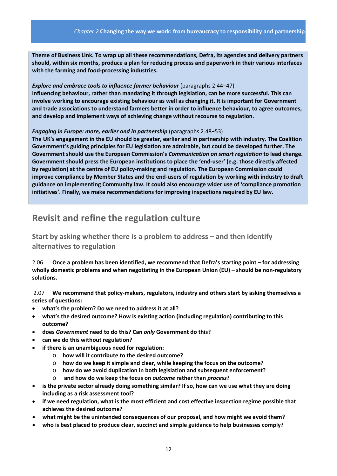**Theme of Business Link. To wrap up all these recommendations, Defra, its agencies and delivery partners should, within six months, produce a plan for reducing process and paperwork in their various interfaces with the farming and food‐processing industries.** 

#### *Explore and embrace tools to influence farmer behaviour* (paragraphs 2.44−47)

**Influencing behaviour, rather than mandating it through legislation, can be more successful. This can involve working to encourage existing behaviour as well as changing it. It is important for Government and trade associations to understand farmers better in order to influence behaviour, to agree outcomes, and develop and implement ways of achieving change without recourse to regulation.**

#### *Engaging in Europe: more, earlier and in partnership* (paragraphs 2.48−53)

**The UK's engagement in the EU should be greater, earlier and in partnership with industry. The Coalition Government's guiding principles for EU legislation are admirable, but could be developed further. The Government should use the European Commission's** *Communication on smart regulation* **to lead change. Government should press the European institutions to place the 'end‐user' (e.g. those directly affected by regulation) at the centre of EU policy‐making and regulation. The European Commission could** improve compliance by Member States and the end-users of regulation by working with industry to draft **guidance on implementing Community law. It could also encourage wider use of 'compliance promotion initiatives'. Finally, we make recommendations for improving inspections required by EU law.**

# **Revisit and refine the regulation culture**

**Start by asking whether there is a problem to address – and then identify alternatives to regulation** 

2.06 **Once a problem has been identified, we recommend that Defra's starting point – for addressing wholly domestic problems and when negotiating in the European Union (EU) – should be non‐regulatory solutions.**

2.07 **We recommend that policy‐makers, regulators, industry and others start by asking themselves a series of questions:**

- **what's the problem? Do we need to address it at all?**
- **what's the desired outcome? How is existing action (including regulation) contributing to this outcome?**
- **does** *Government* **need to do this? Can** *only* **Government do this?**
- **can we do this without regulation?**
- **if there is an unambiguous need for regulation:**
	- o **how will it contribute to the desired outcome?**
	- o **how do we keep it simple and clear, while keeping the focus on the outcome?**
	- o **how do we avoid duplication in both legislation and subsequent enforcement?**
	- o **and how do we keep the focus on** *outcome* **rather than** *process***?**
- **is the private sector already doing something similar? If so, how can we use what they are doing including as a risk assessment tool?**
- **if we need regulation, what is the most efficient and cost effective inspection regime possible that achieves the desired outcome?**
- **what might be the unintended consequences of our proposal, and how might we avoid them?**
- **who is best placed to produce clear, succinct and simple guidance to help businesses comply?**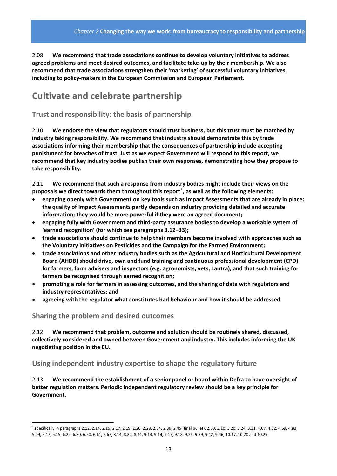2.08 **We recommend that trade associations continue to develop voluntary initiatives to address agreed problems and meet desired outcomes, and facilitate take‐up by their membership. We also recommend that trade associations strengthen their 'marketing' of successful voluntary initiatives, including to policy‐makers in the European Commission and European Parliament.**

# **Cultivate and celebrate partnership**

### **Trust and responsibility: the basis of partnership**

2.10 **We endorse the view that regulators should trust business, but this trust must be matched by industry taking responsibility. We recommend that industry should demonstrate this by trade associations informing their membership that the consequences of partnership include accepting punishment for breaches of trust**. **Just as we expect Government will respond to this report, we recommend that key industry bodies publish their own responses, demonstrating how they propose to take responsibility.** 

2.11 **We recommend that such a response from industry bodies might include their views on the proposals we direct towards them throughout this report[2](#page-12-0) , as well as the following elements:**

- **engaging openly with Government on key tools such as Impact Assessments that are already in place: the quality of Impact Assessments partly depends on industry providing detailed and accurate information; they would be more powerful if they were an agreed document;**
- **engaging fully with Government and third‐party assurance bodies to develop a workable system of 'earned recognition' (for which see paragraphs 3.12−33);**
- **trade associations should continue to help their members become involved with approaches such as the Voluntary Initiatives on Pesticides and the Campaign for the Farmed Environment;**
- **trade associations and other industry bodies such as the Agricultural and Horticultural Development Board (AHDB) should drive, own and fund training and continuous professional development (CPD) for farmers, farm advisers and inspectors (e.g. agronomists, vets, Lantra), and that such training for farmers be recognised through earned recognition;**
- **promoting a role for farmers in assessing outcomes, and the sharing of data with regulators and industry representatives; and**
- **agreeing with the regulator what constitutes bad behaviour and how it should be addressed.**

#### **Sharing the problem and desired outcomes**

2.12 **We recommend that problem, outcome and solution should be routinely shared, discussed, collectively considered and owned between Government and industry. This includes informing the UK negotiating position in the EU.**

### **Using independent industry expertise to shape the regulatory future**

2.13 **We recommend the establishment of a senior panel or board within Defra to have oversight of better regulation matters. Periodic independent regulatory review should be a key principle for Government.**

<span id="page-12-0"></span><sup>2</sup> specifically in paragraphs 2.12, 2.14, 2.16, 2.17, 2.19, 2.20, 2.28, 2.34, 2.36, 2.45 (final bullet), 2.50, 3.10, 3.20, 3.24, 3.31, 4.07, 4.62, 4.69, 4.83, 5.09, 5.17, 6.15, 6.22, 6.30, 6.50, 6.61, 6.67, 8.14, 8.22, 8.41, 9.13, 9.14, 9.17, 9.18, 9.26, 9.39, 9.42, 9.46, 10.17, 10.20 and 10.29.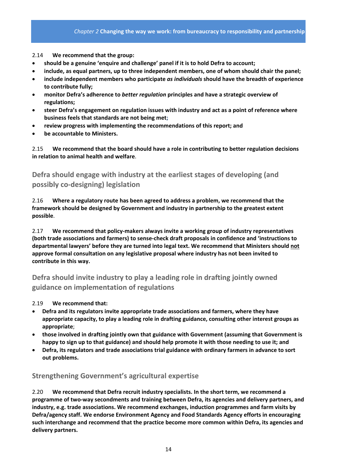2.14 **We recommend that the group:**

- **should be a genuine 'enquire and challenge' panel if it is to hold Defra to account;**
- **include, as equal partners, up to three independent members, one of whom should chair the panel;**
- **include independent members who participate** *as individuals* **should have the breadth of experience to contribute fully;**
- **monitor Defra's adherence to** *better regulation* **principles and have a strategic overview of regulations;**
- **steer Defra's engagement on regulation issues with industry and act as a point of reference where business feels that standards are not being met;**
- **review progress with implementing the recommendations of this report; and**
- **be accountable to Ministers.**

2.15 **We recommend that the board should have a role in contributing to better regulation decisions in relation to animal health and welfare**.

**Defra should engage with industry at the earliest stages of developing (and possibly co‐designing) legislation**

2.16 **Where a regulatory route has been agreed to address a problem, we recommend that the framework should be designed by Government and industry in partnership to the greatest extent possible**.

2.17 **We recommend that policy‐makers always invite a working group of industry representatives (both trade associations and farmers) to sense‐check draft proposals in confidence and 'instructions to departmental lawyers' before they are turned into legal text. We recommend that Ministers should not approve formal consultation on any legislative proposal where industry has not been invited to contribute in this way.**

### **Defra should invite industry to play a leading role in drafting jointly owned guidance on implementation of regulations**

2.19 **We recommend that:**

- **Defra and its regulators invite appropriate trade associations and farmers, where they have appropriate capacity, to play a leading role in drafting guidance, consulting other interest groups as appropriate**;
- **those involved in drafting jointly own that guidance with Government (assuming that Government is** happy to sign up to that guidance) and should help promote it with those needing to use it; and
- **Defra, its regulators and trade associations trial guidance with ordinary farmers in advance to sort out problems.**

### **Strengthening Government's agricultural expertise**

2.20 **We recommend that Defra recruit industry specialists. In the short term, we recommend a programme of two‐way secondments and training between Defra, its agencies and delivery partners, and industry, e.g. trade associations. We recommend exchanges, induction programmes and farm visits by Defra/agency staff. We endorse Environment Agency and Food Standards Agency efforts in encouraging such interchange and recommend that the practice become more common within Defra, its agencies and delivery partners.**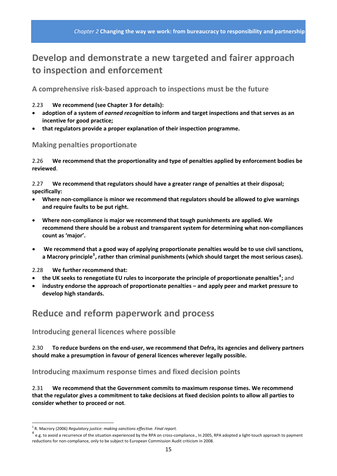# **Develop and demonstrate a new targeted and fairer approach to inspection and enforcement**

**A comprehensive risk‐based approach to inspections must be the future**

#### 2.23 **We recommend (see Chapter 3 for details):**

- **adoption of a system of** *earned recognition* **to inform and target inspections and that serves as an incentive for good practice;**
- **that regulators provide a proper explanation of their inspection programme.**

### **Making penalties proportionate**

2.26 **We recommend that the proportionality and type of penalties applied by enforcement bodies be reviewed**.

2.27 **We recommend that regulators should have a greater range of penalties at their disposal; specifically:**

- **Where non‐compliance is minor we recommend that regulators should be allowed to give warnings and require faults to be put right.**
- **Where non‐compliance is major we recommend that tough punishments are applied. We recommend there should be a robust and transparent system for determining what non‐compliances count as 'major'.**
- **We recommend that a good way of applying proportionate penalties would be to use civil sanctions, a Macrory principle[3](#page-14-0) , rather than criminal punishments (which should target the most serious cases).**

2.28 **We further recommend that:** 

- **the UK seeks to renegotiate EU rules to incorporate the principle of proportionate penalties[4](#page-14-1) ;** and
- **industry endorse the approach of proportionate penalties – and apply peer and market pressure to develop high standards.**

# **Reduce and reform paperwork and process**

**Introducing general licences where possible**

2.30 **To reduce burdens on the end‐user, we recommend that Defra, its agencies and delivery partners should make a presumption in favour of general licences wherever legally possible.** 

**Introducing maximum response times and fixed decision points**

2.31 **We recommend that the Government commits to maximum response times. We recommend** that the regulator gives a commitment to take decisions at fixed decision points to allow all parties to **consider whether to proceed or not**.

<span id="page-14-1"></span><span id="page-14-0"></span><sup>&</sup>lt;sup>3</sup> R. Macrory (2006) *Regulatory justice: making sanctions effective. Final report.*<br><sup>4</sup> e.g. to avoid a recurrence of the situation experienced by the RPA on cross-compliance., In 2005, RPA adopted a light-touch approac reductions for non‐compliance, only to be subject to European Commission Audit criticism in 2008.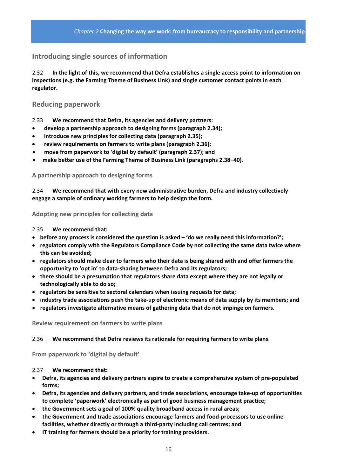### **Introducing single sources of information**

2.32 **In the light of this, we recommend that Defra establishes a single access point to information on inspections (e.g. the Farming Theme of Business Link) and single customer contact points in each regulator.** 

### **Reducing paperwork**

2.33 **We recommend that Defra, its agencies and delivery partners:** 

- **develop a partnership approach to designing forms (paragraph 2.34);**
- **introduce new principles for collecting data (paragraph 2.35);**
- **review requirements on farmers to write plans (paragraph 2.36);**
- **move from paperwork to 'digital by default' (paragraph 2.37); and**
- **make better use of the Farming Theme of Business Link (paragraphs 2.38−40).**

#### **A partnership approach to designing forms**

2.34 **We recommend that with every new administrative burden, Defra and industry collectively engage a sample of ordinary working farmers to help design the form.**

**Adopting new principles for collecting data** 

2.35 **We recommend that:**

- **before any process is considered the question is asked – 'do we really need this information?';**
- **regulators comply with the Regulators Compliance Code by not collecting the same data twice where this can be avoided;**
- **regulators should make clear to farmers who their data is being shared with and offer farmers the opportunity to 'opt in' to data‐sharing between Defra and its regulators;**
- **there should be a presumption that regulators share data except where they are not legally or technologically able to do so;**
- **regulators be sensitive to sectoral calendars when issuing requests for data;**
- industry trade associations push the take-up of electronic means of data supply by its members; and
- **regulators investigate alternative means of gathering data that do not impinge on farmers.**

**Review requirement on farmers to write plans**

#### 2.36 **We recommend that Defra reviews its rationale for requiring farmers to write plans**.

**From paperwork to 'digital by default'** 

2.37 **We recommend that:**

- **Defra, its agencies and delivery partners aspire to create a comprehensive system of pre‐populated forms;**
- **Defra, its agencies and delivery partners, and trade associations, encourage take‐up of opportunities to complete 'paperwork' electronically as part of good business management practice;**
- **the Government sets a goal of 100% quality broadband access in rural areas;**
- **the Government and trade associations encourage farmers and food‐processors to use online facilities, whether directly or through a third‐party including call centres; and**
- **IT training for farmers should be a priority for training providers.**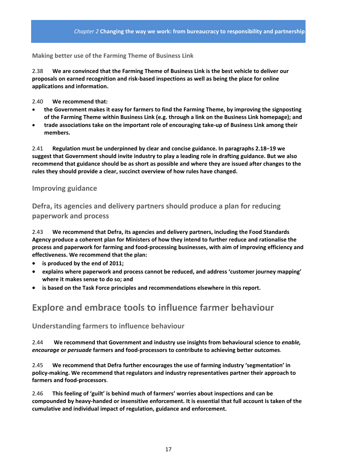**Making better use of the Farming Theme of Business Link**

2.38 **We are convinced that the Farming Theme of Business Link is the best vehicle to deliver our proposals on earned recognition and risk‐based inspections as well as being the place for online applications and information.** 

2.40 **We recommend that:** 

- **the Government makes it easy for farmers to find the Farming Theme, by improving the signposting of the Farming Theme within Business Link (e.g. through a link on the Business Link homepage); and**
- **trade associations take on the important role of encouraging take‐up of Business Link among their members.**

2.41 **Regulation must be underpinned by clear and concise guidance. In paragraphs 2.18−19 we suggest that Government should invite industry to play a leading role in drafting guidance. But we also** recommend that guidance should be as short as possible and where they are issued after changes to the **rules they should provide a clear, succinct overview of how rules have changed.**

#### **Improving guidance**

**Defra, its agencies and delivery partners should produce a plan for reducing paperwork and process** 

2.43 **We recommend that Defra, its agencies and delivery partners, including the Food Standards Agency produce a coherent plan for Ministers of how they intend to further reduce and rationalise the process and paperwork for farming and food‐processing businesses, with aim of improving efficiency and effectiveness. We recommend that the plan:**

- **is produced by the end of 2011;**
- **explains where paperwork and process cannot be reduced, and address 'customer journey mapping' where it makes sense to do so; and**
- **is based on the Task Force principles and recommendations elsewhere in this report.**

# **Explore and embrace tools to influence farmer behaviour**

#### **Understanding farmers to influence behaviour**

2.44 **We recommend that Government and industry use insights from behavioural science to** *enable, encourage* **or** *persuade* **farmers and food‐processors to contribute to achieving better outcomes**.

2.45 **We recommend that Defra further encourages the use of farming industry 'segmentation' in policy‐making. We recommend that regulators and industry representatives partner their approach to farmers and food‐processors**.

2.46 **This feeling of 'guilt' is behind much of farmers' worries about inspections and can be** compounded by heavy-handed or insensitive enforcement. It is essential that full account is taken of the **cumulative and individual impact of regulation, guidance and enforcement.**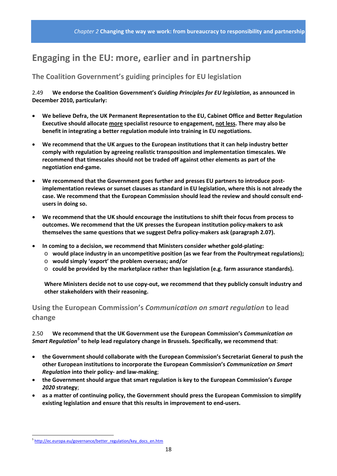# **Engaging in the EU: more, earlier and in partnership**

### **The Coalition Government's guiding principles for EU legislation**

2.49 **We endorse the Coalition Government's** *Guiding Principles for EU legislation***, as announced in December 2010, particularly:**

- **We believe Defra, the UK Permanent Representation to the EU, Cabinet Office and Better Regulation Executive should allocate more specialist resource to engagement, not less. There may also be benefit in integrating a better regulation module into training in EU negotiations.**
- **We recommend that the UK argues to the European institutions that it can help industry better comply with regulation by agreeing realistic transposition and implementation timescales. We recommend that timescales should not be traded off against other elements as part of the negotiation end‐game.**
- **We recommend that the Government goes further and presses EU partners to introduce post‐ implementation reviews or sunset clauses as standard in EU legislation, where this is not already the case. We recommend that the European Commission should lead the review and should consult end‐ users in doing so.**
- **We recommend that the UK should encourage the institutions to shift their focus from process to outcomes. We recommend that the UK presses the European institution policy‐makers to ask themselves the same questions that we suggest Defra policy‐makers ask (paragraph 2.07).**
- **In coming to a decision, we recommend that Ministers consider whether gold‐plating:**
	- o **would place industry in an uncompetitive position (as we fear from the Poultrymeat regulations);**
	- o **would simply 'export' the problem overseas; and/or**
	- o **could be provided by the marketplace rather than legislation (e.g. farm assurance standards).**

**Where Ministers decide not to use copy‐out, we recommend that they publicly consult industry and other stakeholders with their reasoning.**

### **Using the European Commission's** *Communication on smart regulation* **to lead change**

2.50 **We recommend that the UK Government use the European Commission's** *Communication on Smart Regulation[5](#page-17-0)* **to help lead regulatory change in Brussels. Specifically, we recommend that**:

- **the Government should collaborate with the European Commission's Secretariat General to push the other European institutions to incorporate the European Commission's** *Communication on Smart Regulation* **into their policy‐ and law‐making**;
- **the Government should argue that smart regulation is key to the European Commission's** *Europe 2020* **strategy**;
- **as a matter of continuing policy, the Government should press the European Commission to simplify existing legislation and ensure that this results in improvement to end‐users.**

<span id="page-17-0"></span><sup>&</sup>lt;sup>5</sup> [http://ec.europa.eu/governance/better\\_regulation/key\\_docs\\_en.htm](http://ec.europa.eu/governance/better_regulation/key_docs_en.htm)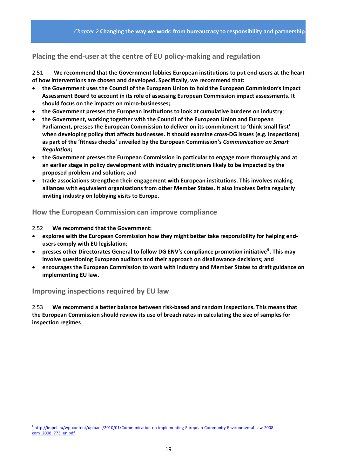### **Placing the end‐user at the centre of EU policy‐making and regulation**

2.51 **We recommend that the Government lobbies European institutions to put end‐users at the heart of how interventions are chosen and developed. Specifically, we recommend that:**

- **the Government uses the Council of the European Union to hold the European Commission's Impact Assessment Board to account in its role of assessing European Commission impact assessments. It should focus on the impacts on micro‐businesses;**
- **the Government presses the European institutions to look at cumulative burdens on industry**;
- **the Government, working together with the Council of the European Union and European Parliament, presses the European Commission to deliver on its commitment to 'think small first' when developing policy that affects businesses. It should examine cross‐DG issues (e.g. inspections) as part of the 'fitness checks' unveiled by the European Commission's** *Communication on Smart Regulation***;**
- **the Government presses the European Commission in particular to engage more thoroughly and at an earlier stage in policy development with industry practitioners likely to be impacted by the proposed problem and solution;** and
- **trade associations strengthen their engagement with European institutions. This involves making alliances with equivalent organisations from other Member States. It also involves Defra regularly inviting industry on lobbying visits to Europe.**

#### **How the European Commission can improve compliance**

2.52 **We recommend that the Government:** 

- **explores with the European Commission how they might better take responsibility for helping end‐ users comply with EU legislation**;
- **presses other Directorates General to follow DG ENV's compliance promotion initiative[6](#page-18-0) . This may involve questioning European auditors and their approach on disallowance decisions; and**
- **encourages the European Commission to work with industry and Member States to draft guidance on implementing EU law.**

### **Improving inspections required by EU law**

2.53 **We recommend a better balance between risk‐based and random inspections. This means that the European Commission should review its use of breach rates in calculating the size of samples for inspection regimes**.

<span id="page-18-0"></span><sup>6</sup> http://impel.eu/wp‐[content/uploads/2010/01/Communication](http://impel.eu/wp-content/uploads/2010/01/Communication-on-implementing-European-Community-Environmental-Law-2008-com_2008_773_en.pdf)‐on‐implementing‐European‐Community‐Environmental‐Law‐2008‐ [com\\_2008\\_773\\_en.pdf](http://impel.eu/wp-content/uploads/2010/01/Communication-on-implementing-European-Community-Environmental-Law-2008-com_2008_773_en.pdf)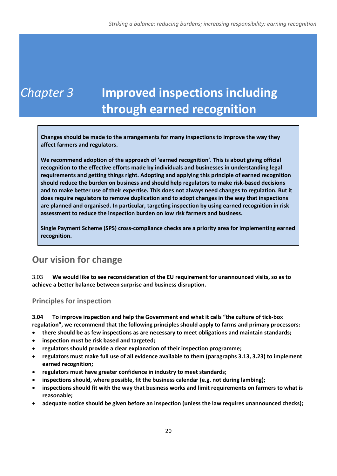# *Chapter 3* **Improved inspections including through earned recognition**

**Changes should be made to the arrangements for many inspections to improve the way they affect farmers and regulators.** 

**We recommend adoption of the approach of 'earned recognition'. This is about giving official recognition to the effective efforts made by individuals and businesses in understanding legal requirements and getting things right. Adopting and applying this principle of earned recognition should reduce the burden on business and should help regulators to make risk‐based decisions and to make better use of their expertise. This does not always need changes to regulation. But it does require regulators to remove duplication and to adopt changes in the way that inspections are planned and organised. In particular, targeting inspection by using earned recognition in risk assessment to reduce the inspection burden on low risk farmers and business.**

**Single Payment Scheme (SPS) cross‐compliance checks are a priority area for implementing earned recognition.**

# **Our vision for change**

3.03 **We would like to see reconsideration of the EU requirement for unannounced visits, so as to achieve a better balance between surprise and business disruption.**

**Principles for inspection**

**3.04 To improve inspection and help the Government end what it calls "the culture of tick‐box regulation", we recommend that the following principles should apply to farms and primary processors:** 

- **there should be as few inspections as are necessary to meet obligations and maintain standards;**
- **inspection must be risk based and targeted;**
- **regulators should provide a clear explanation of their inspection programme;**
- **regulators must make full use of all evidence available to them (paragraphs 3.13, 3.23) to implement earned recognition;**
- **regulators must have greater confidence in industry to meet standards;**
- **inspections should, where possible, fit the business calendar (e.g. not during lambing);**
- **inspections should fit with the way that business works and limit requirements on farmers to what is reasonable;**
- **adequate notice should be given before an inspection (unless the law requires unannounced checks);**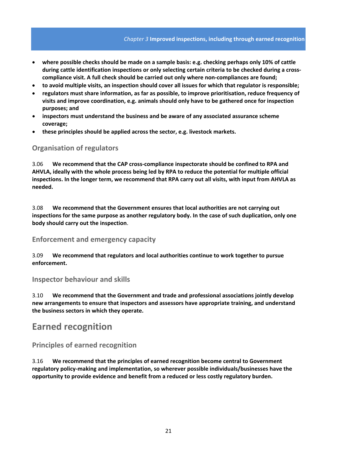- **where possible checks should be made on a sample basis: e.g. checking perhaps only 10% of cattle during cattle identification inspections or only selecting certain criteria to be checked during a cross‐ compliance visit. A full check should be carried out only where non‐compliances are found;**
- to avoid multiple visits, an inspection should cover all issues for which that regulator is responsible;
- **regulators must share information, as far as possible, to improve prioritisation, reduce frequency of visits and improve coordination, e.g. animals should only have to be gathered once for inspection purposes; and**
- **inspectors must understand the business and be aware of any associated assurance scheme coverage;**
- **these principles should be applied across the sector, e.g. livestock markets.**

#### **Organisation of regulators**

3.06 **We recommend that the CAP cross‐compliance inspectorate should be confined to RPA and AHVLA, ideally with the whole process being led by RPA to reduce the potential for multiple official** inspections. In the longer term, we recommend that RPA carry out all visits, with input from AHVLA as **needed.**

3.08 **We recommend that the Government ensures that local authorities are not carrying out inspections for the same purpose as another regulatory body. In the case of such duplication, only one body should carry out the inspection**.

#### **Enforcement and emergency capacity**

3.09 **We recommend that regulators and local authorities continue to work together to pursue enforcement.**

#### **Inspector behaviour and skills**

3.10 **We recommend that the Government and trade and professional associations jointly develop new arrangements to ensure that inspectors and assessors have appropriate training, and understand the business sectors in which they operate.**

### **Earned recognition**

#### **Principles of earned recognition**

3.16 **We recommend that the principles of earned recognition become central to Government regulatory policy‐making and implementation, so wherever possible individuals/businesses have the opportunity to provide evidence and benefit from a reduced or less costly regulatory burden.**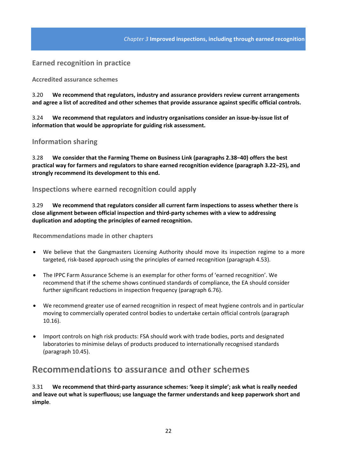#### **Earned recognition in practice**

**Accredited assurance schemes**

3.20 **We recommend that regulators, industry and assurance providers review current arrangements and agree a list of accredited and other schemes that provide assurance against specific official controls.**

3.24 **We recommend that regulators and industry organisations consider an issue‐by‐issue list of information that would be appropriate for guiding risk assessment.**

#### **Information sharing**

3.28 **We consider that the Farming Theme on Business Link (paragraphs 2.38−40) offers the best practical way for farmers and regulators to share earned recognition evidence (paragraph 3.22−25), and strongly recommend its development to this end.**

#### **Inspections where earned recognition could apply**

3.29 **We recommend that regulators consider all current farm inspections to assess whether there is close alignment between official inspection and third‐party schemes with a view to addressing duplication and adopting the principles of earned recognition.**

**Recommendations made in other chapters**

- We believe that the Gangmasters Licensing Authority should move its inspection regime to a more targeted, risk‐based approach using the principles of earned recognition (paragraph 4.53).
- The IPPC Farm Assurance Scheme is an exemplar for other forms of 'earned recognition'. We recommend that if the scheme shows continued standards of compliance, the EA should consider further significant reductions in inspection frequency (paragraph 6.76).
- We recommend greater use of earned recognition in respect of meat hygiene controls and in particular moving to commercially operated control bodies to undertake certain official controls (paragraph 10.16).
- Import controls on high risk products: FSA should work with trade bodies, ports and designated laboratories to minimise delays of products produced to internationally recognised standards (paragraph 10.45).

### **Recommendations to assurance and other schemes**

3.31 **We recommend that third‐party assurance schemes: 'keep it simple'; ask what is really needed and leave out what is superfluous; use language the farmer understands and keep paperwork short and simple**.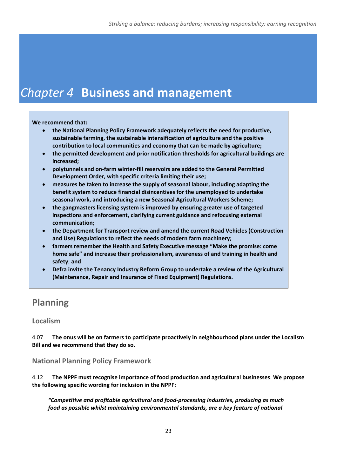# *Chapter 4* **Business and management**

#### **We recommend that:**

- **the National Planning Policy Framework adequately reflects the need for productive, sustainable farming, the sustainable intensification of agriculture and the positive contribution to local communities and economy that can be made by agriculture;**
- **the permitted development and prior notification thresholds for agricultural buildings are increased;**
- **polytunnels and on‐farm winter‐fill reservoirs are added to the General Permitted Development Order, with specific criteria limiting their use;**
- **measures be taken to increase the supply of seasonal labour, including adapting the benefit system to reduce financial disincentives for the unemployed to undertake seasonal work, and introducing a new Seasonal Agricultural Workers Scheme;**
- **the gangmasters licensing system is improved by ensuring greater use of targeted inspections and enforcement, clarifying current guidance and refocusing external communication;**
- **the Department for Transport review and amend the current Road Vehicles (Construction and Use) Regulations to reflect the needs of modern farm machinery;**
- **farmers remember the Health and Safety Executive message "Make the promise: come home safe" and increase their professionalism, awareness of and training in health and safety**; **and**
- **Defra invite the Tenancy Industry Reform Group to undertake a review of the Agricultural (Maintenance, Repair and Insurance of Fixed Equipment) Regulations.**

# **Planning**

### **Localism**

4.07 **The onus will be on farmers to participate proactively in neighbourhood plans under the Localism Bill and we recommend that they do so.**

### **National Planning Policy Framework**

4.12 **The NPPF must recognise importance of food production and agricultural businesses**. **We propose the following specific wording for inclusion in the NPPF:**

*"Competitive and profitable agricultural and food‐processing industries, producing as much food as possible whilst maintaining environmental standards, are a key feature of national*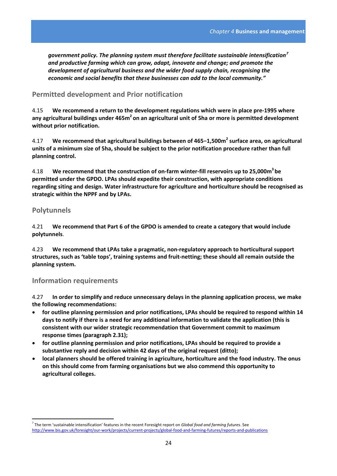*government policy. The planning system must therefore facilitate sustainable intensification[7](#page-23-0) and productive farming which can grow, adapt, innovate and change; and promote the development of agricultural business and the wider food supply chain, recognising the economic and social benefits that these businesses can add to the local community."*

### **Permitted development and Prior notification**

4.15 **We recommend a return to the development regulations which were in place pre‐1995 where any agricultural buildings under 465m2 on an agricultural unit of 5ha or more is permitted development without prior notification.**

4.17 **We recommend that agricultural buildings between of 465−1,500m2 surface area, on agricultural** units of a minimum size of 5ha, should be subject to the prior notification procedure rather than full **planning control.**

4.18 **We recommend that the construction of on‐farm winter‐fill reservoirs up to 25,000m3 be permitted under the GPDO. LPAs should expedite their construction, with appropriate conditions regarding siting and design. Water infrastructure for agriculture and horticulture should be recognised as strategic within the NPPF and by LPAs.**

#### **Polytunnels**

4.21 **We recommend that Part 6 of the GPDO is amended to create a category that would include polytunnels**.

4.23 **We recommend that LPAs take a pragmatic, non‐regulatory approach to horticultural support structures, such as 'table tops', training systems and fruit‐netting; these should all remain outside the planning system.**

#### **Information requirements**

4.27 **In order to simplify and reduce unnecessary delays in the planning application process**, **we make the following recommendations:**

- **for outline planning permission and prior notifications, LPAs should be required to respond within 14** days to notify if there is a need for any additional information to validate the application (this is **consistent with our wider strategic recommendation that Government commit to maximum response times (paragraph 2.31);**
- **for outline planning permission and prior notifications, LPAs should be required to provide a substantive reply and decision within 42 days of the original request (ditto);**
- **local planners should be offered training in agriculture, horticulture and the food industry. The onus on this should come from farming organisations but we also commend this opportunity to agricultural colleges.**

<span id="page-23-0"></span> <sup>7</sup> The term 'sustainable intensification' features in the recent Foresight report on *Global food and farming futures*. See [http://www.bis.gov.uk/foresight/our](http://www.bis.gov.uk/foresight/our-work/projects/current-projects/global-food-and-farming-futures/reports-and-publications)‐work/projects/current‐projects/global‐food‐and‐farming‐futures/reports‐and‐publications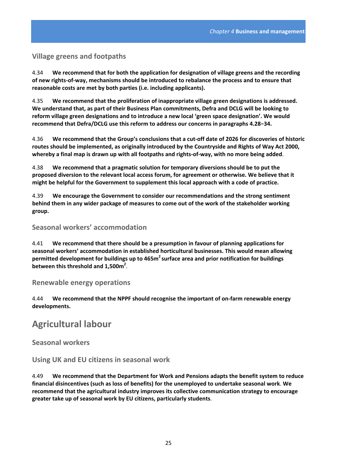### **Village greens and footpaths**

4.34 **We recommend that for both the application for designation of village greens and the recording** of new rights-of-way, mechanisms should be introduced to rebalance the process and to ensure that **reasonable costs are met by both parties (i.e. including applicants).**

4.35 **We recommend that the proliferation of inappropriate village green designations is addressed. We understand that, as part of their Business Plan commitments, Defra and DCLG will be looking to reform village green designations and to introduce a new local 'green space designation'. We would recommend that Defra/DCLG use this reform to address our concerns in paragraphs 4.28−34.**

4.36 We recommend that the Group's conclusions that a cut-off date of 2026 for discoveries of historic **routes should be implemented, as originally introduced by the Countryside and Rights of Way Act 2000,** whereby a final map is drawn up with all footpaths and rights-of-way, with no more being added.

4.38 **We recommend that a pragmatic solution for temporary diversions should be to put the proposed diversion to the relevant local access forum, for agreement or otherwise. We believe that it might be helpful for the Government to supplement this local approach with a code of practice.**

4.39 **We encourage the Government to consider our recommendations and the strong sentiment behind them in any wider package of measures to come out of the work of the stakeholder working group.**

**Seasonal workers' accommodation**

4.41 **We recommend that there should be a presumption in favour of planning applications for seasonal workers' accommodation in established horticultural businesses. This would mean allowing permitted development for buildings up to 465m2 surface area and prior notification for buildings between this threshold and 1,500m2** .

#### **Renewable energy operations**

4.44 **We recommend that the NPPF should recognise the important of on‐farm renewable energy developments.**

# **Agricultural labour**

**Seasonal workers**

**Using UK and EU citizens in seasonal work**

4.49 **We recommend that the Department for Work and Pensions adapts the benefit system to reduce financial disincentives (such as loss of benefits) for the unemployed to undertake seasonal work**. **We recommend that the agricultural industry improves its collective communication strategy to encourage greater take up of seasonal work by EU citizens, particularly students**.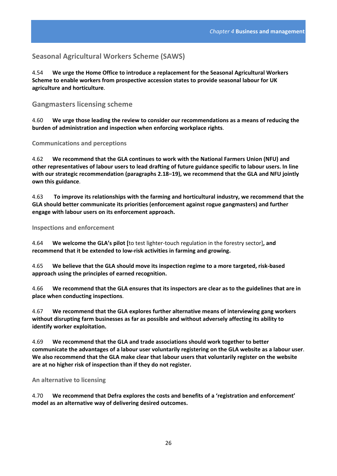### **Seasonal Agricultural Workers Scheme (SAWS)**

4.54 **We urge the Home Office to introduce a replacement for the Seasonal Agricultural Workers Scheme to enable workers from prospective accession states to provide seasonal labour for UK agriculture and horticulture**.

#### **Gangmasters licensing scheme**

4.60 **We urge those leading the review to consider our recommendations as a means of reducing the burden of administration and inspection when enforcing workplace rights**.

**Communications and perceptions**

4.62 **We recommend that the GLA continues to work with the National Farmers Union (NFU) and** other representatives of labour users to lead drafting of future guidance specific to labour users. In line **with our strategic recommendation (paragraphs 2.18−19), we recommend that the GLA and NFU jointly own this guidance**.

4.63 **To improve its relationships with the farming and horticultural industry, we recommend that the GLA should better communicate its priorities (enforcement against rogue gangmasters) and further engage with labour users on its enforcement approach.**

**Inspections and enforcement**

4.64 **We welcome the GLA's pilot [**to test lighter‐touch regulation in the forestry sector]**, and recommend that it be extended to low‐risk activities in farming and growing.**

4.65 **We believe that the GLA should move its inspection regime to a more targeted, risk‐based approach using the principles of earned recognition.**

4.66 We recommend that the GLA ensures that its inspectors are clear as to the guidelines that are in **place when conducting inspections**.

4.67 **We recommend that the GLA explores further alternative means of interviewing gang workers without disrupting farm businesses as far as possible and without adversely affecting its ability to identify worker exploitation.**

4.69 **We recommend that the GLA and trade associations should work together to better communicate the advantages of a labour user voluntarily registering on the GLA website as a labour user**. **We also recommend that the GLA make clear that labour users that voluntarily register on the website are at no higher risk of inspection than if they do not register.**

#### **An alternative to licensing**

4.70 **We recommend that Defra explores the costs and benefits of a 'registration and enforcement' model as an alternative way of delivering desired outcomes.**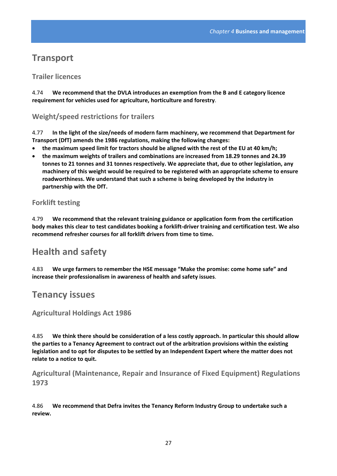## **Transport**

### **Trailer licences**

4.74 **We recommend that the DVLA introduces an exemption from the B and E category licence requirement for vehicles used for agriculture, horticulture and forestry**.

### **Weight/speed restrictions for trailers**

4.77 **In the light of the size/needs of modern farm machinery, we recommend that Department for Transport (DfT) amends the 1986 regulations, making the following changes:**

- **the maximum speed limit for tractors should be aligned with the rest of the EU at 40 km/h;**
- **the maximum weights of trailers and combinations are increased from 18.29 tonnes and 24.39 tonnes to 21 tonnes and 31 tonnes respectively. We appreciate that, due to other legislation, any machinery of this weight would be required to be registered with an appropriate scheme to ensure roadworthiness. We understand that such a scheme is being developed by the industry in partnership with the DfT.**

### **Forklift testing**

4.79 **We recommend that the relevant training guidance or application form from the certification** body makes this clear to test candidates booking a forklift-driver training and certification test. We also **recommend refresher courses for all forklift drivers from time to time.**

# **Health and safety**

4.83 **We urge farmers to remember the HSE message "Make the promise: come home safe" and increase their professionalism in awareness of health and safety issues**.

## **Tenancy issues**

### **Agricultural Holdings Act 1986**

4.85 **We think there should be consideration of a less costly approach. In particular this should allow the parties to a Tenancy Agreement to contract out of the arbitration provisions within the existing** legislation and to opt for disputes to be settled by an Independent Expert where the matter does not **relate to a notice to quit.**

**Agricultural (Maintenance, Repair and Insurance of Fixed Equipment) Regulations 1973**

4.86 **We recommend that Defra invites the Tenancy Reform Industry Group to undertake such a review.**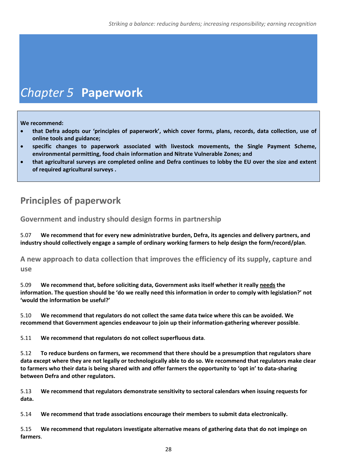# *Chapter 5* **Paperwork**

**We recommend:**

- **that Defra adopts our 'principles of paperwork', which cover forms, plans, records, data collection, use of online tools and guidance;**
- **specific changes to paperwork associated with livestock movements, the Single Payment Scheme, environmental permitting, food chain information and Nitrate Vulnerable Zones; and**
- that agricultural surveys are completed online and Defra continues to lobby the EU over the size and extent **of required agricultural surveys .**

# **Principles of paperwork**

**Government and industry should design forms in partnership**

5.07 **We recommend that for every new administrative burden, Defra, its agencies and delivery partners, and industry should collectively engage a sample of ordinary working farmers to help design the form/record/plan**.

**A new approach to data collection that improves the efficiency of its supply, capture and use**

5.09 **We recommend that, before soliciting data, Government asks itself whether it really needs the** information. The question should be 'do we really need this information in order to comply with legislation?' not **'would the information be useful?'**

5.10 **We recommend that regulators do not collect the same data twice where this can be avoided. We recommend that Government agencies endeavour to join up their information‐gathering wherever possible**.

5.11 **We recommend that regulators do not collect superfluous data**.

5.12 **To reduce burdens on farmers, we recommend that there should be a presumption that regulators share** data except where they are not legally or technologically able to do so. We recommend that regulators make clear to farmers who their data is being shared with and offer farmers the opportunity to 'opt in' to data-sharing **between Defra and other regulators.**

5.13 **We recommend that regulators demonstrate sensitivity to sectoral calendars when issuing requests for data.**

5.14 **We recommend that trade associations encourage their members to submit data electronically.** 

5.15 **We recommend that regulators investigate alternative means of gathering data that do not impinge on farmers**.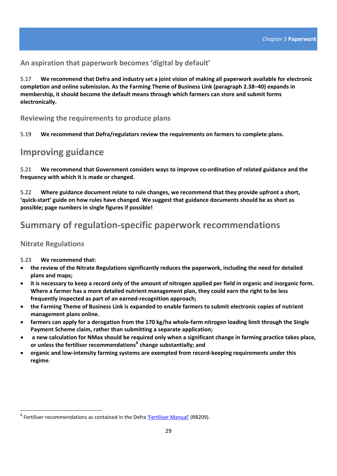**An aspiration that paperwork becomes 'digital by default'**

5.17 We recommend that Defra and industry set a joint vision of making all paperwork available for electronic **completion and online submission. As the Farming Theme of Business Link (paragraph 2.38−40) expands in membership, it should become the default means through which farmers can store and submit forms electronically.** 

**Reviewing the requirements to produce plans**

5.19 **We recommend that Defra/regulators review the requirements on farmers to complete plans.**

## **Improving guidance**

5.21 **We recommend that Government considers ways to improve co‐ordination of related guidance and the frequency with which it is made or changed.**

5.22 **Where guidance document relate to rule changes, we recommend that they provide upfront a short,** 'quick-start' guide on how rules have changed. We suggest that guidance documents should be as short as **possible; page numbers in single figures if possible!**

# **Summary of regulation‐specific paperwork recommendations**

### **Nitrate Regulations**

5.23 **We recommend that:**

- **the review of the Nitrate Regulations significantly reduces the paperwork, including the need for detailed plans and maps;**
- it is necessary to keep a record only of the amount of nitrogen applied per field in organic and inorganic form. **Where a farmer has a more detailed nutrient management plan, they could earn the right to be less frequently inspected as part of an earned‐recognition approach;**
- the Farming Theme of Business Link is expanded to enable farmers to submit electronic copies of nutrient **management plans online.**
- farmers can apply for a derogation from the 170 kg/ha whole-farm nitrogen loading limit through the Single **Payment Scheme claim, rather than submitting a separate application;**
- a new calculation for NMax should be required only when a significant change in farming practice takes place, **or unless the fertiliser recommendations[8](#page-28-0) change substantially; and**
- **organic and low‐intensity farming systems are exempted from record‐keeping requirements under this regime**.

<span id="page-28-0"></span><sup>&</sup>lt;sup>8</sup> Fertiliser recommendations as contained in the Defra ['Fertiliser](http://www.defra.gov.uk/publications/files/rb209-fertiliser-manual-110412.pdf) Manual' (RB209).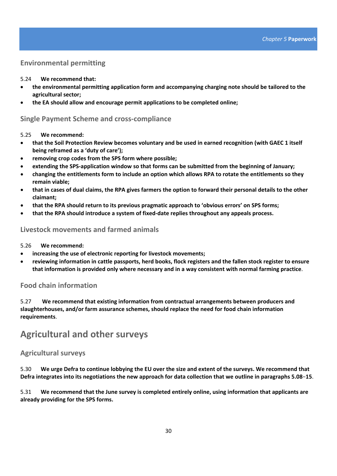### **Environmental permitting**

#### 5.24 **We recommend that:**

- **the environmental permitting application form and accompanying charging note should be tailored to the agricultural sector;**
- **the EA should allow and encourage permit applications to be completed online;**

#### **Single Payment Scheme and cross‐compliance**

#### 5.25 **We recommend:**

- **that the Soil Protection Review becomes voluntary and be used in earned recognition (with GAEC 1 itself being reframed as a 'duty of care');**
- **removing crop codes from the SPS form where possible;**
- **extending the SPS‐application window so that forms can be submitted from the beginning of January;**
- **changing the entitlements form to include an option which allows RPA to rotate the entitlements so they remain viable;**
- that in cases of dual claims, the RPA gives farmers the option to forward their personal details to the other **claimant;**
- **that the RPA should return to its previous pragmatic approach to 'obvious errors' on SPS forms;**
- **that the RPA should introduce a system of fixed‐date replies throughout any appeals process.**

#### **Livestock movements and farmed animals**

#### 5.26 **We recommend:**

- **increasing the use of electronic reporting for livestock movements;**
- **reviewing information in cattle passports, herd books, flock registers and the fallen stock register to ensure that information is provided only where necessary and in a way consistent with normal farming practice**.

#### **Food chain information**

5.27 **We recommend that existing information from contractual arrangements between producers and slaughterhouses, and/or farm assurance schemes, should replace the need for food chain information requirements**.

## **Agricultural and other surveys**

#### **Agricultural surveys**

5.30 We urge Defra to continue lobbying the EU over the size and extent of the surveys. We recommend that Defra integrates into its negotiations the new approach for data collection that we outline in paragraphs 5.08-15.

5.31 **We recommend that the June survey is completed entirely online, using information that applicants are already providing for the SPS forms.**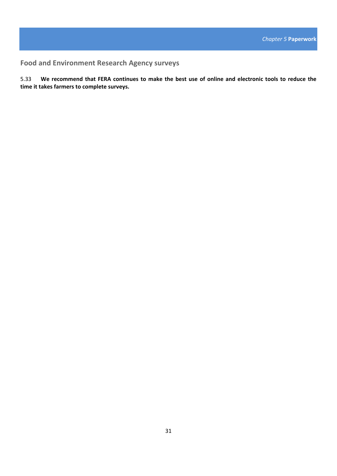**Food and Environment Research Agency surveys**

5.33 We recommend that FERA continues to make the best use of online and electronic tools to reduce the **time it takes farmers to complete surveys.**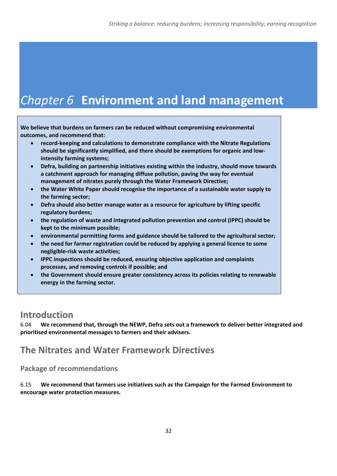# *Chapter 6* **Environment and land management**

**We believe that burdens on farmers can be reduced without compromising environmental outcomes, and recommend that:**

- **record‐keeping and calculations to demonstrate compliance with the Nitrate Regulations should be significantly simplified, and there should be exemptions for organic and low‐ intensity farming systems;**
- **Defra, building on partnership initiatives existing within the industry, should move towards a catchment approach for managing diffuse pollution, paving the way for eventual management of nitrates purely through the Water Framework Directive;**
- **the Water White Paper should recognise the importance of a sustainable water supply to the farming sector;**
- **Defra should also better manage water as a resource for agriculture by lifting specific regulatory burdens;**
- **the regulation of waste and integrated pollution prevention and control (IPPC) should be kept to the minimum possible;**
- **environmental permitting forms and guidance should be tailored to the agricultural sector;**
- **the need for farmer registration could be reduced by applying a general licence to some negligible‐risk waste activities;**
- **IPPC inspections should be reduced, ensuring objective application and complaints processes, and removing controls if possible; and**
- **the Government should ensure greater consistency across its policies relating to renewable energy in the farming sector.**

# **Introduction**

6.04 **We recommend that, through the NEWP, Defra sets out a framework to deliver better integrated and prioritised environmental messages to farmers and their advisers.**

# **The Nitrates and Water Framework Directives**

**Package of recommendations**

6.15 **We recommend that farmers use initiatives such as the Campaign for the Farmed Environment to encourage water protection measures.**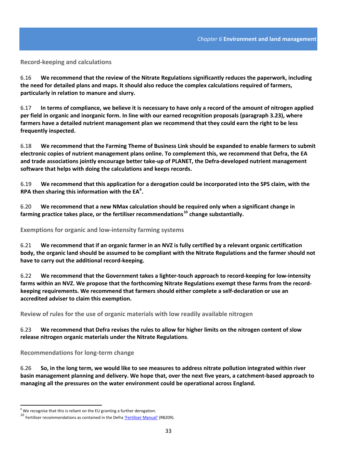#### **Record‐keeping and calculations**

6.16 **We recommend that the review of the Nitrate Regulations significantly reduces the paperwork, including the need for detailed plans and maps. It should also reduce the complex calculations required of farmers, particularly in relation to manure and slurry.**

6.17 In terms of compliance, we believe it is necessary to have only a record of the amount of nitrogen applied per field in organic and inorganic form. In line with our earned recognition proposals (paragraph 3.23), where farmers have a detailed nutrient management plan we recommend that they could earn the right to be less **frequently inspected.**

6.18 **We recommend that the Farming Theme of Business Link should be expanded to enable farmers to submit electronic copies of nutrient management plans online. To complement this, we recommend that Defra, the EA** and trade associations jointly encourage better take-up of PLANET, the Defra-developed nutrient management **software that helps with doing the calculations and keeps records.**

6.19 We recommend that this application for a derogation could be incorporated into the SPS claim, with the **RPA then sharing this information with the EA[9](#page-32-0) .**

6.20 **We recommend that a new NMax calculation should be required only when a significant change in farming practice takes place, or the fertiliser recommendations[10](#page-32-1) change substantially.**

**Exemptions for organic and low‐intensity farming systems** 

6.21 We recommend that if an organic farmer in an NVZ is fully certified by a relevant organic certification body, the organic land should be assumed to be compliant with the Nitrate Regulations and the farmer should not **have to carry out the additional record‐keeping.**

6.22 We recommend that the Government takes a lighter-touch approach to record-keeping for low-intensity farms within an NVZ. We propose that the forthcoming Nitrate Regulations exempt these farms from the record**keeping requirements. We recommend that farmers should either complete a self‐declaration or use an accredited adviser to claim this exemption.**

**Review of rules for the use of organic materials with low readily available nitrogen** 

#### 6.23 We recommend that Defra revises the rules to allow for higher limits on the nitrogen content of slow **release nitrogen organic materials under the Nitrate Regulations**.

**Recommendations for long‐term change**

6.26 So, in the long term, we would like to see measures to address nitrate pollution integrated within river basin management planning and delivery. We hope that, over the next five years, a catchment-based approach to **managing all the pressures on the water environment could be operational across England.**

<span id="page-32-1"></span><span id="page-32-0"></span><sup>&</sup>lt;sup>9</sup> We recognise that this is reliant on the EU granting a further derogation.<br><sup>10</sup> Fertiliser recommendations as contained in the Defra <u>['Fertiliser](http://www.defra.gov.uk/publications/files/rb209-fertiliser-manual-110412.pdf) Manual'</u> (RB209).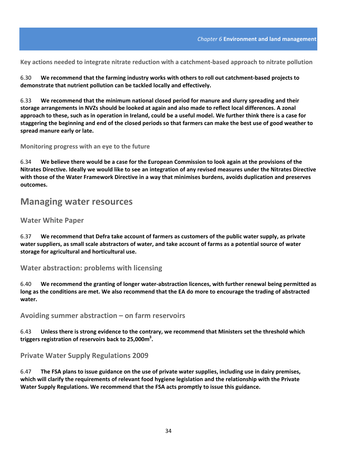**Key actions needed to integrate nitrate reduction with a catchment‐based approach to nitrate pollution**

6.30 **We recommend that the farming industry works with others to roll out catchment‐based projects to demonstrate that nutrient pollution can be tackled locally and effectively.**

6.33 **We recommend that the minimum national closed period for manure and slurry spreading and their** storage arrangements in NVZs should be looked at again and also made to reflect local differences. A zonal approach to these, such as in operation in Ireland, could be a useful model. We further think there is a case for staggering the beginning and end of the closed periods so that farmers can make the best use of good weather to **spread manure early or late.**

**Monitoring progress with an eye to the future**

6.34 We believe there would be a case for the European Commission to look again at the provisions of the Nitrates Directive. Ideally we would like to see an integration of any revised measures under the Nitrates Directive with those of the Water Framework Directive in a way that minimises burdens, avoids duplication and preserves **outcomes.**

### **Managing water resources**

#### **Water White Paper**

6.37 **We recommend that Defra take account of farmers as customers of the public water supply, as private** water suppliers, as small scale abstractors of water, and take account of farms as a potential source of water **storage for agricultural and horticultural use.**

**Water abstraction: problems with licensing**

6.40 **We recommend the granting of longer water‐abstraction licences, with further renewal being permitted as** long as the conditions are met. We also recommend that the EA do more to encourage the trading of abstracted **water.**

**Avoiding summer abstraction – on farm reservoirs**

6.43 **Unless there is strong evidence to the contrary, we recommend that Ministers set the threshold which triggers registration of reservoirs back to 25,000m3 .**

**Private Water Supply Regulations 2009** 

6.47 The FSA plans to issue guidance on the use of private water supplies, including use in dairy premises, **which will clarify the requirements of relevant food hygiene legislation and the relationship with the Private Water Supply Regulations. We recommend that the FSA acts promptly to issue this guidance.**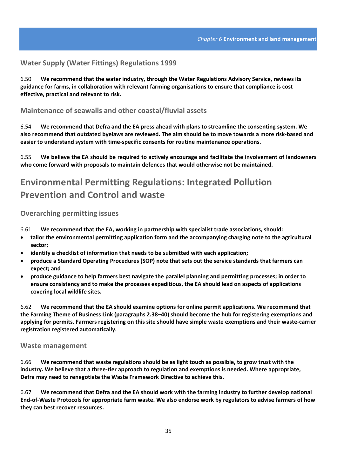#### **Water Supply (Water Fittings) Regulations 1999**

6.50 **We recommend that the water industry, through the Water Regulations Advisory Service, reviews its guidance for farms, in collaboration with relevant farming organisations to ensure that compliance is cost effective, practical and relevant to risk.**

#### **Maintenance of seawalls and other coastal/fluvial assets**

6.54 **We recommend that Defra and the EA press ahead with plans to streamline the consenting system. We** also recommend that outdated byelaws are reviewed. The aim should be to move towards a more risk-based and **easier to understand system with time‐specific consents for routine maintenance operations.** 

6.55 **We believe the EA should be required to actively encourage and facilitate the involvement of landowners who come forward with proposals to maintain defences that would otherwise not be maintained.**

# **Environmental Permitting Regulations: Integrated Pollution Prevention and Control and waste**

#### **Overarching permitting issues**

6.61 **We recommend that the EA, working in partnership with specialist trade associations, should:**

- **tailor the environmental permitting application form and the accompanying charging note to the agricultural sector;**
- **identify a checklist of information that needs to be submitted with each application;**
- **produce a Standard Operating Procedures (SOP) note that sets out the service standards that farmers can expect; and**
- **produce guidance to help farmers best navigate the parallel planning and permitting processes; in order to ensure consistency and to make the processes expeditious, the EA should lead on aspects of applications covering local wildlife sites.**

6.62 **We recommend that the EA should examine options for online permit applications. We recommend that** the Farming Theme of Business Link (paragraphs 2.38-40) should become the hub for registering exemptions and applying for permits. Farmers registering on this site should have simple waste exemptions and their waste-carrier **registration registered automatically.**

#### **Waste management**

6.66 **We recommend that waste regulations should be as light touch as possible, to grow trust with the** industry. We believe that a three-tier approach to regulation and exemptions is needed. Where appropriate, **Defra may need to renegotiate the Waste Framework Directive to achieve this.**

6.67 **We recommend that Defra and the EA should work with the farming industry to further develop national** End-of-Waste Protocols for appropriate farm waste. We also endorse work by regulators to advise farmers of how **they can best recover resources.**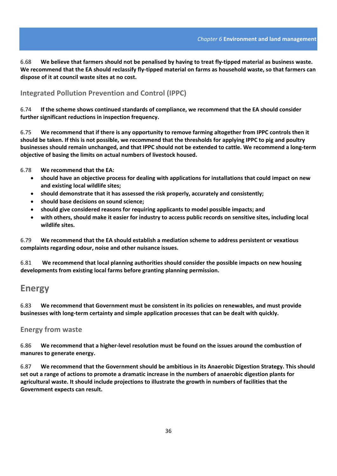6.68 We believe that farmers should not be penalised by having to treat fly-tipped material as business waste. We recommend that the EA should reclassify fly-tipped material on farms as household waste, so that farmers can **dispose of it at council waste sites at no cost.**

#### **Integrated Pollution Prevention and Control (IPPC)**

6.74 **If the scheme shows continued standards of compliance, we recommend that the EA should consider further significant reductions in inspection frequency.**

6.75 We recommend that if there is any opportunity to remove farming altogether from IPPC controls then it should be taken. If this is not possible, we recommend that the thresholds for applying IPPC to pig and poultry businesses should remain unchanged, and that IPPC should not be extended to cattle. We recommend a long-term **objective of basing the limits on actual numbers of livestock housed.**

6.78 **We recommend that the EA:**

- **should have an objective process for dealing with applications for installations that could impact on new and existing local wildlife sites;**
- **should demonstrate that it has assessed the risk properly, accurately and consistently;**
- **should base decisions on sound science;**
- **should give considered reasons for requiring applicants to model possible impacts; and**
- with others, should make it easier for industry to access public records on sensitive sites, including local **wildlife sites.**

6.79 **We recommend that the EA should establish a mediation scheme to address persistent or vexatious complaints regarding odour, noise and other nuisance issues.**

6.81 **We recommend that local planning authorities should consider the possible impacts on new housing developments from existing local farms before granting planning permission.** 

### **Energy**

6.83 **We recommend that Government must be consistent in its policies on renewables, and must provide businesses with long‐term certainty and simple application processes that can be dealt with quickly.**

#### **Energy from waste**

6.86 We recommend that a higher-level resolution must be found on the issues around the combustion of **manures to generate energy.**

6.87 **We recommend that the Government should be ambitious in its Anaerobic Digestion Strategy. This should** set out a range of actions to promote a dramatic increase in the numbers of anaerobic digestion plants for **agricultural waste. It should include projections to illustrate the growth in numbers of facilities that the Government expects can result.**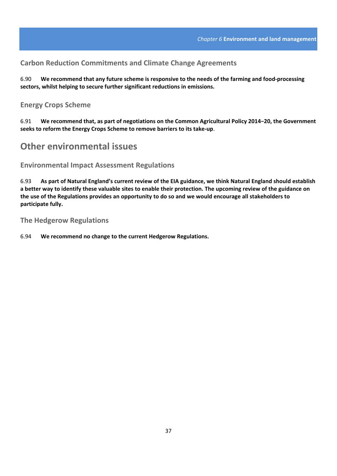#### **Carbon Reduction Commitments and Climate Change Agreements**

6.90 We recommend that any future scheme is responsive to the needs of the farming and food-processing **sectors, whilst helping to secure further significant reductions in emissions.**

#### **Energy Crops Scheme**

6.91 **We recommend that, as part of negotiations on the Common Agricultural Policy 2014−20, the Government seeks to reform the Energy Crops Scheme to remove barriers to its take‐up**.

## **Other environmental issues**

**Environmental Impact Assessment Regulations**

6.93 As part of Natural England's current review of the EIA guidance, we think Natural England should establish a better way to identify these valuable sites to enable their protection. The upcoming review of the guidance on the use of the Regulations provides an opportunity to do so and we would encourage all stakeholders to **participate fully.**

**The Hedgerow Regulations** 

6.94 **We recommend no change to the current Hedgerow Regulations.**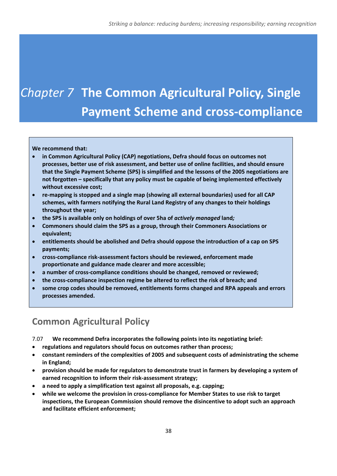# *Chapter 7* **The Common Agricultural Policy, Single Payment Scheme and cross‐compliance**

#### **We recommend that:**

- **in Common Agricultural Policy (CAP) negotiations, Defra should focus on outcomes not processes, better use of risk assessment, and better use of online facilities, and should ensure that the Single Payment Scheme (SPS) is simplified and the lessons of the 2005 negotiations are not forgotten – specifically that any policy must be capable of being implemented effectively without excessive cost;**
- **re‐mapping is stopped and a single map (showing all external boundaries) used for all CAP schemes, with farmers notifying the Rural Land Registry of any changes to their holdings throughout the year;**
- **the SPS is available only on holdings of over 5ha of** *actively managed* **land***;*
- **Commoners should claim the SPS as a group, through their Commoners Associations or equivalent;**
- **entitlements should be abolished and Defra should oppose the introduction of a cap on SPS payments;**
- **cross‐compliance risk‐assessment factors should be reviewed, enforcement made proportionate and guidance made clearer and more accessible;**
- **a number of cross‐compliance conditions should be changed, removed or reviewed;**
- **the cross‐compliance inspection regime be altered to reflect the risk of breach; and**
- **some crop codes should be removed, entitlements forms changed and RPA appeals and errors processes amended.**

# **Common Agricultural Policy**

7.07 **We recommend Defra incorporates the following points into its negotiating brief:**

- **regulations and regulators should focus on outcomes rather than process;**
- **constant reminders of the complexities of 2005 and subsequent costs of administrating the scheme in England;**
- **provision should be made for regulators to demonstrate trust in farmers by developing a system of earned recognition to inform their risk‐assessment strategy;**
- **a need to apply a simplification test against all proposals, e.g. capping;**
- **while we welcome the provision in cross‐compliance for Member States to use risk to target inspections, the European Commission should remove the disincentive to adopt such an approach and facilitate efficient enforcement;**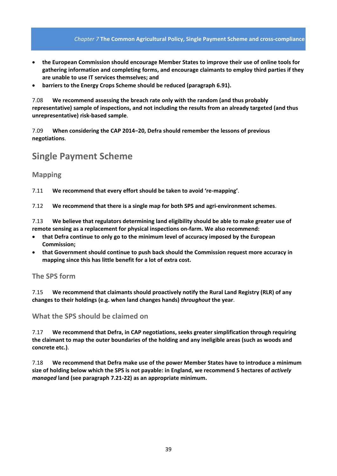#### *Chapter 7* **The Common Agricultural Policy, Single Payment Scheme and cross‐compliance**

- **the European Commission should encourage Member States to improve their use of online tools for gathering information and completing forms, and encourage claimants to employ third parties if they are unable to use IT services themselves; and**
- **barriers to the Energy Crops Scheme should be reduced (paragraph 6.91).**

7.08 **We recommend assessing the breach rate only with the random (and thus probably representative) sample of inspections, and not including the results from an already targeted (and thus unrepresentative) risk‐based sample**.

7.09 **When considering the CAP 2014−20, Defra should remember the lessons of previous negotiations**.

## **Single Payment Scheme**

#### **Mapping**

7.11 **We recommend that every effort should be taken to avoid 're‐mapping'**.

7.12 **We recommend that there is a single map for both SPS and agri‐environment schemes**.

7.13 **We believe that regulators determining land eligibility should be able to make greater use of remote sensing as a replacement for physical inspections on‐farm. We also recommend:**

- **that Defra continue to only go to the minimum level of accuracy imposed by the European Commission;**
- **that Government should continue to push back should the Commission request more accuracy in mapping since this has little benefit for a lot of extra cost.**

**The SPS form** 

7.15 **We recommend that claimants should proactively notify the Rural Land Registry (RLR) of any changes to their holdings (e.g. when land changes hands)** *throughout* **the year**.

**What the SPS should be claimed on**

7.17 **We recommend that Defra, in CAP negotiations, seeks greater simplification through requiring** the claimant to map the outer boundaries of the holding and any ineligible areas (such as woods and **concrete etc.)**.

7.18 **We recommend that Defra make use of the power Member States have to introduce a minimum** size of holding below which the SPS is not payable: in England, we recommend 5 hectares of actively *managed* **land (see paragraph 7.21‐22) as an appropriate minimum.**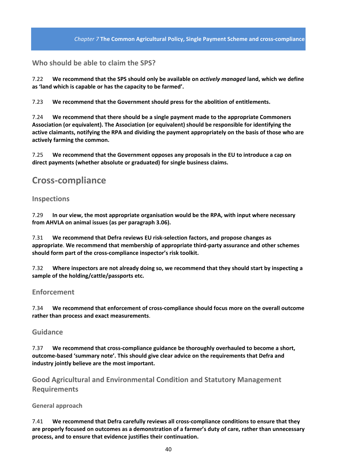### **Who should be able to claim the SPS?**

7.22 **We recommend that the SPS should only be available on** *actively managed* **land, which we define as 'land which is capable or has the capacity to be farmed'.**

7.23 **We recommend that the Government should press for the abolition of entitlements.** 

7.24 **We recommend that there should be a single payment made to the appropriate Commoners Association (or equivalent). The Association (or equivalent) should be responsible for identifying the active claimants, notifying the RPA and dividing the payment appropriately on the basis of those who are actively farming the common.**

7.25 **We recommend that the Government opposes any proposals in the EU to introduce a cap on direct payments (whether absolute or graduated) for single business claims.**

### **Cross‐compliance**

#### **Inspections**

7.29 **In our view, the most appropriate organisation would be the RPA, with input where necessary from AHVLA on animal issues (as per paragraph 3.06).**

7.31 **We recommend that Defra reviews EU risk‐selection factors, and propose changes as appropriate**. **We recommend that membership of appropriate third‐party assurance and other schemes should form part of the cross‐compliance inspector's risk toolkit.**

7.32 **Where inspectors are not already doing so, we recommend that they should start by inspecting a sample of the holding/cattle/passports etc.**

#### **Enforcement**

7.34 **We recommend that enforcement of cross‐compliance should focus more on the overall outcome rather than process and exact measurements**.

#### **Guidance**

7.37 **We recommend that cross‐compliance guidance be thoroughly overhauled to become a short, outcome‐based 'summary note'. This should give clear advice on the requirements that Defra and industry jointly believe are the most important.**

**Good Agricultural and Environmental Condition and Statutory Management Requirements**

#### **General approach**

7.41 **We recommend that Defra carefully reviews all cross‐compliance conditions to ensure that they are properly focused on outcomes as a demonstration of a farmer's duty of care, rather than unnecessary process, and to ensure that evidence justifies their continuation.**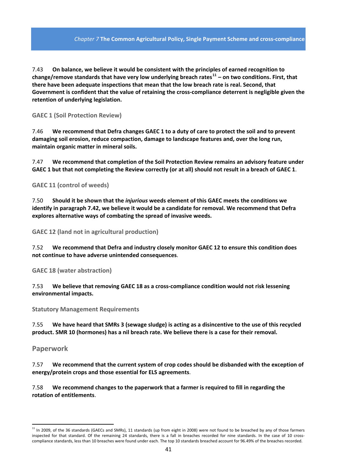#### *Chapter 7* **The Common Agricultural Policy, Single Payment Scheme and cross‐compliance**

7.43 **On balance, we believe it would be consistent with the principles of earned recognition to change/remove standards that have very low underlying breach rates[11](#page-40-0) – on two conditions. First, that there have been adequate inspections that mean that the low breach rate is real. Second, that** Government is confident that the value of retaining the cross-compliance deterrent is negligible given the **retention of underlying legislation.**

**GAEC 1 (Soil Protection Review)**

7.46 We recommend that Defra changes GAEC 1 to a duty of care to protect the soil and to prevent **damaging soil erosion, reduce compaction, damage to landscape features and, over the long run, maintain organic matter in mineral soils.**

7.47 **We recommend that completion of the Soil Protection Review remains an advisory feature under** GAEC 1 but that not completing the Review correctly (or at all) should not result in a breach of GAEC 1.

**GAEC 11 (control of weeds)** 

7.50 **Should it be shown that the** *injurious* **weeds element of this GAEC meets the conditions we identify in paragraph 7.42, we believe it would be a candidate for removal. We recommend that Defra explores alternative ways of combating the spread of invasive weeds.**

**GAEC 12 (land not in agricultural production)** 

7.52 **We recommend that Defra and industry closely monitor GAEC 12 to ensure this condition does not continue to have adverse unintended consequences**.

**GAEC 18 (water abstraction)**

7.53 **We believe that removing GAEC 18 as a cross‐compliance condition would not risk lessening environmental impacts.**

**Statutory Management Requirements**

7.55 We have heard that SMRs 3 (sewage sludge) is acting as a disincentive to the use of this recycled **product. SMR 10 (hormones) has a nil breach rate. We believe there is a case for their removal.**

**Paperwork**

7.57 **We recommend that the current system of crop codes should be disbanded with the exception of energy/protein crops and those essential for ELS agreements**.

7.58 **We recommend changes to the paperwork that a farmer is required to fill in regarding the rotation of entitlements**.

<span id="page-40-0"></span> $11$  In 2009, of the 36 standards (GAECs and SMRs), 11 standards (up from eight in 2008) were not found to be breached by any of those farmers inspected for that standard. Of the remaining 24 standards, there is a fall in breaches recorded for nine standards. In the case of 10 crosscompliance standards, less than 10 breaches were found under each. The top 10 standards breached account for 96.49% of the breaches recorded.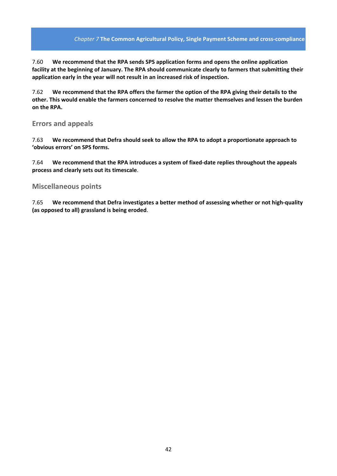#### *Chapter 7* **The Common Agricultural Policy, Single Payment Scheme and cross‐compliance**

7.60 **We recommend that the RPA sends SPS application forms and opens the online application facility at the beginning of January. The RPA should communicate clearly to farmers that submitting their application early in the year will not result in an increased risk of inspection.**

7.62 **We recommend that the RPA offers the farmer the option of the RPA giving their details to the other. This would enable the farmers concerned to resolve the matter themselves and lessen the burden on the RPA.**

#### **Errors and appeals**

7.63 **We recommend that Defra should seek to allow the RPA to adopt a proportionate approach to 'obvious errors' on SPS forms.**

7.64 **We recommend that the RPA introduces a system of fixed‐date replies throughout the appeals process and clearly sets out its timescale**.

#### **Miscellaneous points**

7.65 **We recommend that Defra investigates a better method of assessing whether or not high‐quality (as opposed to all) grassland is being eroded**.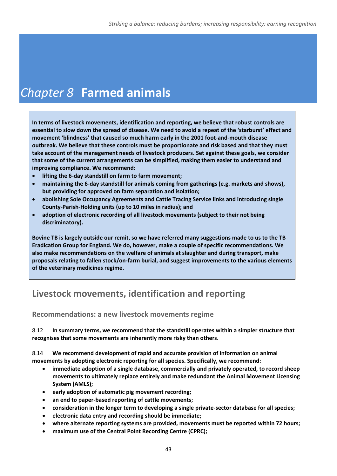# *Chapter 8* **Farmed animals**

**In terms of livestock movements, identification and reporting, we believe that robust controls are** essential to slow down the spread of disease. We need to avoid a repeat of the 'starburst' effect and **movement 'blindness' that caused so much harm early in the 2001 foot‐and‐mouth disease outbreak. We believe that these controls must be proportionate and risk based and that they must take account of the management needs of livestock producers. Set against these goals, we consider that some of the current arrangements can be simplified, making them easier to understand and improving compliance. We recommend:**

- **lifting the 6‐day standstill on farm to farm movement;**
- **maintaining the 6‐day standstill for animals coming from gatherings (e.g. markets and shows), but providing for approved on farm separation and isolation;**
- **abolishing Sole Occupancy Agreements and Cattle Tracing Service links and introducing single County‐Parish‐Holding units (up to 10 miles in radius); and**
- **adoption of electronic recording of all livestock movements (subject to their not being discriminatory).**

Bovine TB is largely outside our remit, so we have referred many suggestions made to us to the TB **Eradication Group for England. We do, however, make a couple of specific recommendations. We also make recommendations on the welfare of animals at slaughter and during transport, make proposals relating to fallen stock/on‐farm burial, and suggest improvements to the various elements of the veterinary medicines regime.** 

# **Livestock movements, identification and reporting**

**Recommendations: a new livestock movements regime**

8.12 **In summary terms, we recommend that the standstill operates within a simpler structure that recognises that some movements are inherently more risky than others**.

8.14 **We recommend development of rapid and accurate provision of information on animal movements by adopting electronic reporting for all species. Specifically, we recommend:**

- **immediate adoption of a single database, commercially and privately operated, to record sheep movements to ultimately replace entirely and make redundant the Animal Movement Licensing System (AMLS);**
- **early adoption of automatic pig movement recording;**
- **an end to paper‐based reporting of cattle movements;**
- **consideration in the longer term to developing a single private‐sector database for all species;**
- **electronic data entry and recording should be immediate;**
- **where alternate reporting systems are provided, movements must be reported within 72 hours;**
- **maximum use of the Central Point Recording Centre (CPRC);**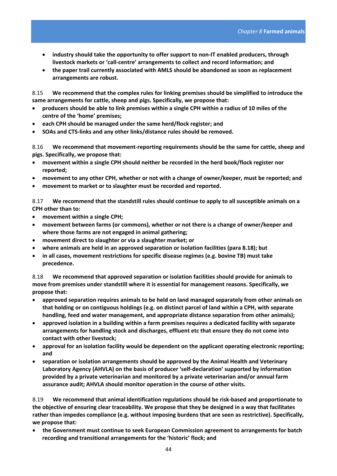- **industry should take the opportunity to offer support to non‐IT enabled producers, through livestock markets or 'call‐centre' arrangements to collect and record information; and**
- **the paper trail currently associated with AMLS should be abandoned as soon as replacement arrangements are robust.**

8.15 **We recommend that the complex rules for linking premises should be simplified to introduce the same arrangements for cattle, sheep and pigs. Specifically, we propose that:**

- producers should be able to link premises within a single CPH within a radius of 10 miles of the **centre of the 'home' premises;**
- **each CPH should be managed under the same herd/flock register; and**
- **SOAs and CTS‐links and any other links/distance rules should be removed.**

8.16 **We recommend that movement‐reporting requirements should be the same for cattle, sheep and pigs. Specifically, we propose that:** 

- **movement within a single CPH should neither be recorded in the herd book/flock register nor reported;**
- **movement to any other CPH, whether or not with a change of owner/keeper, must be reported; and**
- **movement to market or to slaughter must be recorded and reported.**

8.17 **We recommend that the standstill rules should continue to apply to all susceptible animals on a CPH other than to:**

- **movement within a single CPH;**
- **movement between farms (or commons), whether or not there is a change of owner/keeper and where those farms are not engaged in animal gathering;**
- **movement direct to slaughter or via a slaughter market; or**
- **where animals are held in an approved separation or isolation facilities (para 8.18); but**
- **in all cases, movement restrictions for specific disease regimes (e.g. bovine TB) must take precedence.**

8.18 **We recommend that approved separation or isolation facilities should provide for animals to move from premises under standstill where it is essential for management reasons. Specifically, we propose that:**

- **approved separation requires animals to be held on land managed separately from other animals on that holding or on contiguous holdings (e.g. on distinct parcel of land within a CPH, with separate handling, feed and water management, and appropriate distance separation from other animals);**
- **approved isolation in a building within a farm premises requires a dedicated facility with separate arrangements for handling stock and discharges, effluent etc that ensure they do not come into contact with other livestock;**
- **approval for an isolation facility would be dependent on the applicant operating electronic reporting; and**
- **separation or isolation arrangements should be approved by the Animal Health and Veterinary Laboratory Agency (AHVLA) on the basis of producer 'self‐declaration' supported by information provided by a private veterinarian and monitored by a private veterinarian and/or annual farm assurance audit; AHVLA should monitor operation in the course of other visits.**

8.19 **We recommend that animal identification regulations should be risk‐based and proportionate to the objective of ensuring clear traceability. We propose that they be designed in a way that facilitates rather than impedes compliance (e.g. without imposing burdens that are seen as restrictive). Specifically, we propose that:**

• **the Government must continue to seek European Commission agreement to arrangements for batch recording and transitional arrangements for the 'historic' flock; and**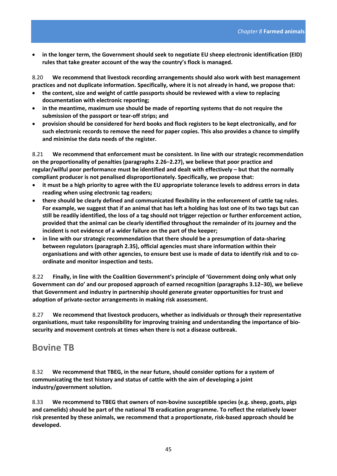• **in the longer term, the Government should seek to negotiate EU sheep electronic identification (EID) rules that take greater account of the way the country's flock is managed.**

8.20 **We recommend that livestock recording arrangements should also work with best management practices and not duplicate information. Specifically, where it is not already in hand, we propose that:**

- **the content, size and weight of cattle passports should be reviewed with a view to replacing documentation with electronic reporting;**
- **in the meantime, maximum use should be made of reporting systems that do not require the submission of the passport or tear‐off strips; and**
- **provision should be considered for herd books and flock registers to be kept electronically, and for such electronic records to remove the need for paper copies. This also provides a chance to simplify and minimise the data needs of the register.**

8.21 **We recommend that enforcement must be consistent. In line with our strategic recommendation on the proportionality of penalties (paragraphs 2.26−2.27), we believe that poor practice and regular/wilful poor performance must be identified and dealt with effectively – but that the normally compliant producer is not penalised disproportionately. Specifically, we propose that:**

- it must be a high priority to agree with the EU appropriate tolerance levels to address errors in data **reading when using electronic tag readers;**
- **there should be clearly defined and communicated flexibility in the enforcement of cattle tag rules.** For example, we suggest that if an animal that has left a holding has lost one of its two tags but can still be readily identified, the loss of a tag should not trigger rejection or further enforcement action, **provided that the animal can be clearly identified throughout the remainder of its journey and the incident is not evidence of a wider failure on the part of the keeper;**
- **in line with our strategic recommendation that there should be a presumption of data‐sharing between regulators (paragraph 2.35), official agencies must share information within their** organisations and with other agencies, to ensure best use is made of data to identify risk and to co**ordinate and monitor inspection and tests.**

8.22 **Finally, in line with the Coalition Government's principle of 'Government doing only what only Government can do' and our proposed approach of earned recognition (paragraphs 3.12−30), we believe that Government and industry in partnership should generate greater opportunities for trust and adoption of private‐sector arrangements in making risk assessment.** 

8.27 **We recommend that livestock producers, whether as individuals or through their representative organisations, must take responsibility for improving training and understanding the importance of bio‐ security and movement controls at times when there is not a disease outbreak.**

## **Bovine TB**

8.32 **We recommend that TBEG, in the near future, should consider options for a system of communicating the test history and status of cattle with the aim of developing a joint industry/government solution.**

8.33 **We recommend to TBEG that owners of non‐bovine susceptible species (e.g. sheep, goats, pigs and camelids) should be part of the national TB eradication programme. To reflect the relatively lower risk presented by these animals, we recommend that a proportionate, risk‐based approach should be developed.**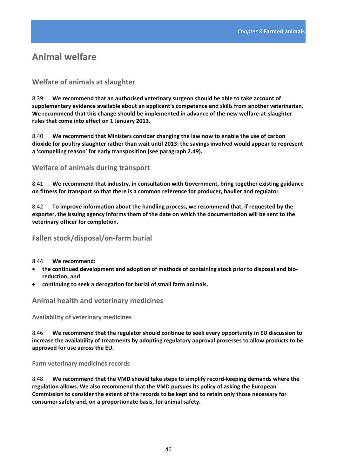# **Animal welfare**

### **Welfare of animals at slaughter**

8.39 **We recommend that an authorised veterinary surgeon should be able to take account of supplementary evidence available about an applicant's competence and skills from another veterinarian. We recommend that this change should be implemented in advance of the new welfare‐at‐slaughter rules that come into effect on 1 January 2013.** 

8.40 **We recommend that Ministers consider changing the law now to enable the use of carbon dioxide for poultry slaughter rather than wait until 2013: the savings involved would appear to represent a 'compelling reason' for early transposition (see paragraph 2.49).**

**Welfare of animals during transport** 

8.41 **We recommend that industry, in consultation with Government, bring together existing guidance on fitness for transport so that there is a common reference for producer, haulier and regulator**.

8.42 **To improve information about the handling process, we recommend that, if requested by the** exporter, the issuing agency informs them of the date on which the documentation will be sent to the **veterinary officer for completion**.

### **Fallen stock/disposal/on‐farm burial**

8.44 **We recommend:**

- **the continued development and adoption of methods of containing stock prior to disposal and bio‐ reduction, and**
- **continuing to seek a derogation for burial of small farm animals.**

### **Animal health and veterinary medicines**

**Availability of veterinary medicines**

8.46 **We recommend that the regulator should continue to seek every opportunity in EU discussion to increase the availability of treatments by adopting regulatory approval processes to allow products to be approved for use across the EU.**

**Farm veterinary medicines records**

8.48 **We recommend that the VMD should take steps to simplify record‐keeping demands where the regulation allows. We also recommend that the VMD pursues its policy of asking the European Commission to consider the extent of the records to be kept and to retain only those necessary for consumer safety and, on a proportionate basis, for animal safety.**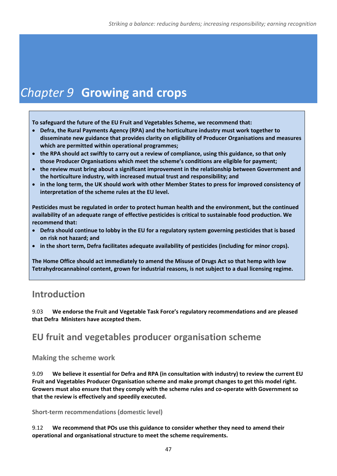# *Chapter 9* **Growing and crops**

**To safeguard the future of the EU Fruit and Vegetables Scheme, we recommend that:**

- **Defra, the Rural Payments Agency (RPA) and the horticulture industry must work together to disseminate new guidance that provides clarity on eligibility of Producer Organisations and measures which are permitted within operational programmes;**
- the RPA should act swiftly to carry out a review of compliance, using this guidance, so that only **those Producer Organisations which meet the scheme's conditions are eligible for payment;**
- **the review must bring about a significant improvement in the relationship between Government and the horticulture industry, with increased mutual trust and responsibility; and**
- in the long term, the UK should work with other Member States to press for improved consistency of **interpretation of the scheme rules at the EU level.**

**Pesticides must be regulated in order to protect human health and the environment, but the continued availability of an adequate range of effective pesticides is critical to sustainable food production. We recommend that:**

- **Defra should continue to lobby in the EU for a regulatory system governing pesticides that is based on risk not hazard; and**
- **in the short term, Defra facilitates adequate availability of pesticides (including for minor crops).**

**The Home Office should act immediately to amend the Misuse of Drugs Act so that hemp with low Tetrahydrocannabinol content, grown for industrial reasons, is not subject to a dual licensing regime.** 

# **Introduction**

9.03 **We endorse the Fruit and Vegetable Task Force's regulatory recommendations and are pleased that Defra Ministers have accepted them.** 

# **EU fruit and vegetables producer organisation scheme**

**Making the scheme work**

9.09 **We believe it essential for Defra and RPA (in consultation with industry) to review the current EU Fruit and Vegetables Producer Organisation scheme and make prompt changes to get this model right. Growers must also ensure that they comply with the scheme rules and co‐operate with Government so that the review is effectively and speedily executed.** 

**Short‐term recommendations (domestic level)**

9.12 **We recommend that POs use this guidance to consider whether they need to amend their operational and organisational structure to meet the scheme requirements.**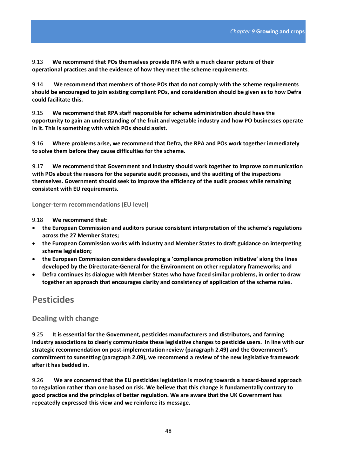9.13 **We recommend that POs themselves provide RPA with a much clearer picture of their operational practices and the evidence of how they meet the scheme requirements**.

9.14 **We recommend that members of those POs that do not comply with the scheme requirements should be encouraged to join existing compliant POs, and consideration should be given as to how Defra could facilitate this.**

9.15 **We recommend that RPA staff responsible for scheme administration should have the opportunity to gain an understanding of the fruit and vegetable industry and how PO businesses operate in it. This is something with which POs should assist.** 

9.16 **Where problems arise, we recommend that Defra, the RPA and POs work together immediately to solve them before they cause difficulties for the scheme.**

9.17 **We recommend that Government and industry should work together to improve communication with POs about the reasons for the separate audit processes, and the auditing of the inspections themselves. Government should seek to improve the efficiency of the audit process while remaining consistent with EU requirements.**

**Longer‐term recommendations (EU level)**

9.18 **We recommend that:**

- **the European Commission and auditors pursue consistent interpretation of the scheme's regulations across the 27 Member States;**
- **the European Commission works with industry and Member States to draft guidance on interpreting scheme legislation;**
- **the European Commission considers developing a 'compliance promotion initiative' along the lines developed by the Directorate‐General for the Environment on other regulatory frameworks; and**
- **Defra continues its dialogue with Member States who have faced similar problems, in order to draw together an approach that encourages clarity and consistency of application of the scheme rules.**

## **Pesticides**

**Dealing with change**

9.25 **It is essential for the Government, pesticides manufacturers and distributors, and farming industry associations to clearly communicate these legislative changes to pesticide users. In line with our strategic recommendation on post‐implementation review (paragraph 2.49) and the Government's commitment to sunsetting (paragraph 2.09), we recommend a review of the new legislative framework after it has bedded in.**

9.26 **We are concerned that the EU pesticides legislation is moving towards a hazard‐based approach to regulation rather than one based on risk. We believe that this change is fundamentally contrary to good practice and the principles of better regulation. We are aware that the UK Government has repeatedly expressed this view and we reinforce its message.**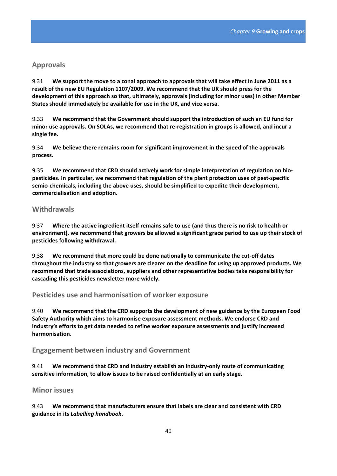#### **Approvals**

9.31 We support the move to a zonal approach to approvals that will take effect in June 2011 as a **result of the new EU Regulation 1107/2009. We recommend that the UK should press for the development of this approach so that, ultimately, approvals (including for minor uses) in other Member States should immediately be available for use in the UK, and vice versa.**

9.33 **We recommend that the Government should support the introduction of such an EU fund for minor use approvals. On SOLAs, we recommend that re‐registration in groups is allowed, and incur a single fee.**

9.34 **We believe there remains room for significant improvement in the speed of the approvals process.**

9.35 **We recommend that CRD should actively work for simple interpretation of regulation on bio‐ pesticides. In particular, we recommend that regulation of the plant protection uses of pest‐specific semio‐chemicals, including the above uses, should be simplified to expedite their development, commercialisation and adoption.** 

#### **Withdrawals**

9.37 Where the active ingredient itself remains safe to use (and thus there is no risk to health or **environment), we recommend that growers be allowed a significant grace period to use up their stock of pesticides following withdrawal.**

9.38 **We recommend that more could be done nationally to communicate the cut‐off dates throughout the industry so that growers are clearer on the deadline for using up approved products. We recommend that trade associations, suppliers and other representative bodies take responsibility for cascading this pesticides newsletter more widely.**

#### **Pesticides use and harmonisation of worker exposure**

9.40 **We recommend that the CRD supports the development of new guidance by the European Food Safety Authority which aims to harmonise exposure assessment methods. We endorse CRD and industry's efforts to get data needed to refine worker exposure assessments and justify increased harmonisation.**

#### **Engagement between industry and Government**

9.41 **We recommend that CRD and industry establish an industry‐only route of communicating sensitive information, to allow issues to be raised confidentially at an early stage.** 

#### **Minor issues**

9.43 **We recommend that manufacturers ensure that labels are clear and consistent with CRD guidance in its** *Labelling handbook***.**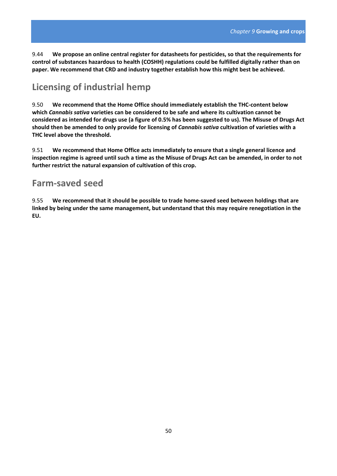9.44 **We propose an online central register for datasheets for pesticides, so that the requirements for control of substances hazardous to health (COSHH) regulations could be fulfilled digitally rather than on paper. We recommend that CRD and industry together establish how this might best be achieved.**

## **Licensing of industrial hemp**

9.50 **We recommend that the Home Office should immediately establish the THC‐content below which** *Cannabis sativa* **varieties can be considered to be safe and where its cultivation cannot be** considered as intended for drugs use (a figure of 0.5% has been suggested to us). The Misuse of Drugs Act **should then be amended to only provide for licensing of** *Cannabis sativa* **cultivation of varieties with a THC level above the threshold.**

9.51 **We recommend that Home Office acts immediately to ensure that a single general licence and** inspection regime is agreed until such a time as the Misuse of Drugs Act can be amended, in order to not **further restrict the natural expansion of cultivation of this crop.** 

### **Farm‐saved seed**

9.55 **We recommend that it should be possible to trade home‐saved seed between holdings that are linked by being under the same management, but understand that this may require renegotiation in the EU.**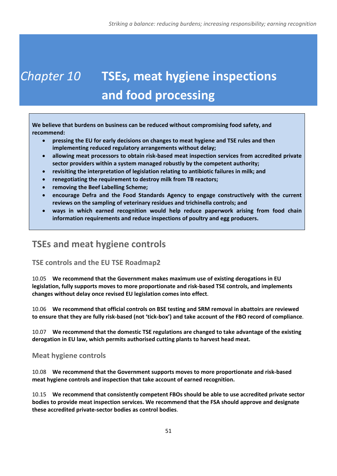# *Chapter 10* **TSEs, meat hygiene inspections and food processing**

**We believe that burdens on business can be reduced without compromising food safety, and recommend:**

- **pressing the EU for early decisions on changes to meat hygiene and TSE rules and then implementing reduced regulatory arrangements without delay;**
- **allowing meat processors to obtain risk‐based meat inspection services from accredited private sector providers within a system managed robustly by the competent authority;**
- **revisiting the interpretation of legislation relating to antibiotic failures in milk; and**
- **renegotiating the requirement to destroy milk from TB reactors;**
- **removing the Beef Labelling Scheme;**
- **encourage Defra and the Food Standards Agency to engage constructively with the current reviews on the sampling of veterinary residues and trichinella controls; and**
- **ways in which earned recognition would help reduce paperwork arising from food chain information requirements and reduce inspections of poultry and egg producers.**

# **TSEs and meat hygiene controls**

### **TSE controls and the EU TSE Roadmap2**

10.05 **We recommend that the Government makes maximum use of existing derogations in EU legislation, fully supports moves to more proportionate and risk‐based TSE controls, and implements changes without delay once revised EU legislation comes into effect**.

10.06 **We recommend that official controls on BSE testing and SRM removal in abattoirs are reviewed** to ensure that they are fully risk-based (not 'tick-box') and take account of the FBO record of compliance.

10.07 **We recommend that the domestic TSE regulations are changed to take advantage of the existing derogation in EU law, which permits authorised cutting plants to harvest head meat.**

### **Meat hygiene controls**

10.08 **We recommend that the Government supports moves to more proportionate and risk‐based meat hygiene controls and inspection that take account of earned recognition.** 

10.15 **We recommend that consistently competent FBOs should be able to use accredited private sector bodies to provide meat inspection services. We recommend that the FSA should approve and designate these accredited private‐sector bodies as control bodies**.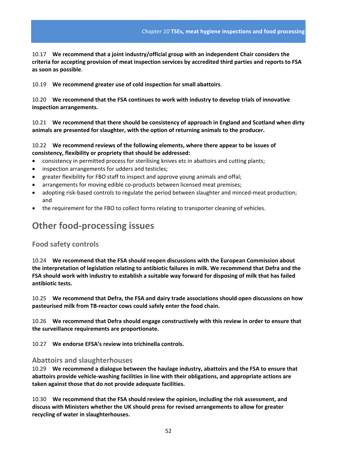10.17 **We recommend that a joint industry/official group with an independent Chair considers the criteria for accepting provision of meat inspection services by accredited third parties and reports to FSA as soon as possible**.

10.19 **We recommend greater use of cold inspection for small abattoirs**.

10.20 **We recommend that the FSA continues to work with industry to develop trials of innovative inspection arrangements.**

10.21 **We recommend that there should be consistency of approach in England and Scotland when dirty animals are presented for slaughter, with the option of returning animals to the producer.**

#### 10.22 **We recommend reviews of the following elements, where there appear to be issues of consistency, flexibility or propriety that should be addressed:**

- consistency in permitted process for sterilising knives etc in abattoirs and cutting plants;
- inspection arrangements for udders and testicles;
- greater flexibility for FBO staff to inspect and approve young animals and offal;
- arrangements for moving edible co-products between licensed meat premises;
- adopting risk-based controls to regulate the period between slaughter and minced-meat production; and
- the requirement for the FBO to collect forms relating to transporter cleaning of vehicles.

## **Other food‐processing issues**

#### **Food safety controls**

10.24 **We recommend that the FSA should reopen discussions with the European Commission about the interpretation of legislation relating to antibiotic failures in milk. We recommend that Defra and the** FSA should work with industry to establish a suitable way forward for disposing of milk that has failed **antibiotic tests.**

10.25 **We recommend that Defra, the FSA and dairy trade associations should open discussions on how pasteurised milk from TB‐reactor cows could safely enter the food chain.**

10.26 **We recommend that Defra should engage constructively with this review in order to ensure that the surveillance requirements are proportionate.**

10.27 **We endorse EFSA's review into trichinella controls.**

#### **Abattoirs and slaughterhouses**

10.29 **We recommend a dialogue between the haulage industry, abattoirs and the FSA to ensure that abattoirs provide vehicle‐washing facilities in line with their obligations, and appropriate actions are taken against those that do not provide adequate facilities.**

10.30 **We recommend that the FSA should review the opinion, including the risk assessment, and discuss with Ministers whether the UK should press for revised arrangements to allow for greater recycling of water in slaughterhouses.**